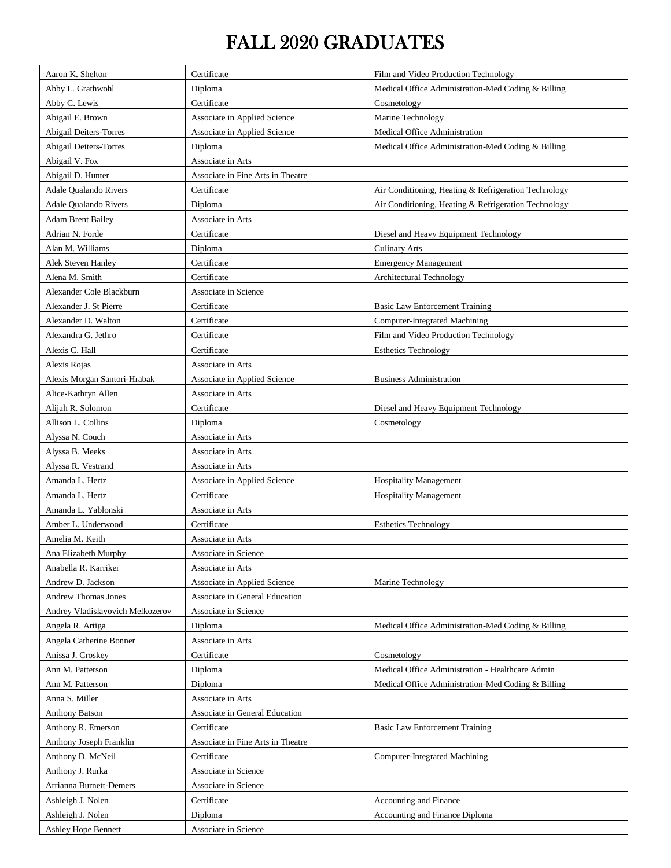## FALL 2020 GRADUATES

| Aaron K. Shelton                 | Certificate                       | Film and Video Production Technology                 |
|----------------------------------|-----------------------------------|------------------------------------------------------|
| Abby L. Grathwohl                | Diploma                           | Medical Office Administration-Med Coding & Billing   |
| Abby C. Lewis                    | Certificate                       | Cosmetology                                          |
| Abigail E. Brown                 | Associate in Applied Science      | Marine Technology                                    |
| <b>Abigail Deiters-Torres</b>    | Associate in Applied Science      | Medical Office Administration                        |
| <b>Abigail Deiters-Torres</b>    | Diploma                           | Medical Office Administration-Med Coding & Billing   |
| Abigail V. Fox                   | Associate in Arts                 |                                                      |
| Abigail D. Hunter                | Associate in Fine Arts in Theatre |                                                      |
| Adale Qualando Rivers            | Certificate                       | Air Conditioning, Heating & Refrigeration Technology |
| Adale Qualando Rivers            | Diploma                           | Air Conditioning, Heating & Refrigeration Technology |
| <b>Adam Brent Bailey</b>         | Associate in Arts                 |                                                      |
| Adrian N. Forde                  | Certificate                       | Diesel and Heavy Equipment Technology                |
| Alan M. Williams                 | Diploma                           | <b>Culinary Arts</b>                                 |
| Alek Steven Hanley               | Certificate                       | <b>Emergency Management</b>                          |
| Alena M. Smith                   | Certificate                       | Architectural Technology                             |
| Alexander Cole Blackburn         | Associate in Science              |                                                      |
| Alexander J. St Pierre           | Certificate                       | <b>Basic Law Enforcement Training</b>                |
| Alexander D. Walton              | Certificate                       | <b>Computer-Integrated Machining</b>                 |
| Alexandra G. Jethro              | Certificate                       | Film and Video Production Technology                 |
| Alexis C. Hall                   | Certificate                       | <b>Esthetics Technology</b>                          |
| Alexis Rojas                     | Associate in Arts                 |                                                      |
| Alexis Morgan Santori-Hrabak     | Associate in Applied Science      | <b>Business Administration</b>                       |
| Alice-Kathryn Allen              | Associate in Arts                 |                                                      |
| Alijah R. Solomon                | Certificate                       | Diesel and Heavy Equipment Technology                |
| Allison L. Collins               | Diploma                           | Cosmetology                                          |
| Alyssa N. Couch                  | Associate in Arts                 |                                                      |
| Alyssa B. Meeks                  | Associate in Arts                 |                                                      |
| Alyssa R. Vestrand               | Associate in Arts                 |                                                      |
| Amanda L. Hertz                  | Associate in Applied Science      | <b>Hospitality Management</b>                        |
| Amanda L. Hertz                  | Certificate                       | <b>Hospitality Management</b>                        |
| Amanda L. Yablonski              | Associate in Arts                 |                                                      |
| Amber L. Underwood               | Certificate                       | <b>Esthetics Technology</b>                          |
| Amelia M. Keith                  | Associate in Arts                 |                                                      |
| Ana Elizabeth Murphy             | Associate in Science              |                                                      |
| Anabella R. Karriker             | Associate in Arts                 |                                                      |
| Andrew D. Jackson                | Associate in Applied Science      | Marine Technology                                    |
| Andrew Thomas Jones              | Associate in General Education    |                                                      |
| Andrey Vladislavovich Melkozerov | Associate in Science              |                                                      |
| Angela R. Artiga                 | Diploma                           | Medical Office Administration-Med Coding & Billing   |
| Angela Catherine Bonner          | Associate in Arts                 |                                                      |
| Anissa J. Croskey                | Certificate                       | Cosmetology                                          |
| Ann M. Patterson                 | Diploma                           | Medical Office Administration - Healthcare Admin     |
| Ann M. Patterson                 | Diploma                           | Medical Office Administration-Med Coding & Billing   |
| Anna S. Miller                   | Associate in Arts                 |                                                      |
| <b>Anthony Batson</b>            | Associate in General Education    |                                                      |
| Anthony R. Emerson               | Certificate                       | Basic Law Enforcement Training                       |
| Anthony Joseph Franklin          | Associate in Fine Arts in Theatre |                                                      |
| Anthony D. McNeil                | Certificate                       | Computer-Integrated Machining                        |
| Anthony J. Rurka                 | Associate in Science              |                                                      |
| Arrianna Burnett-Demers          | Associate in Science              |                                                      |
| Ashleigh J. Nolen                | Certificate                       | Accounting and Finance                               |
| Ashleigh J. Nolen                | Diploma                           | Accounting and Finance Diploma                       |
| Ashley Hope Bennett              | Associate in Science              |                                                      |
|                                  |                                   |                                                      |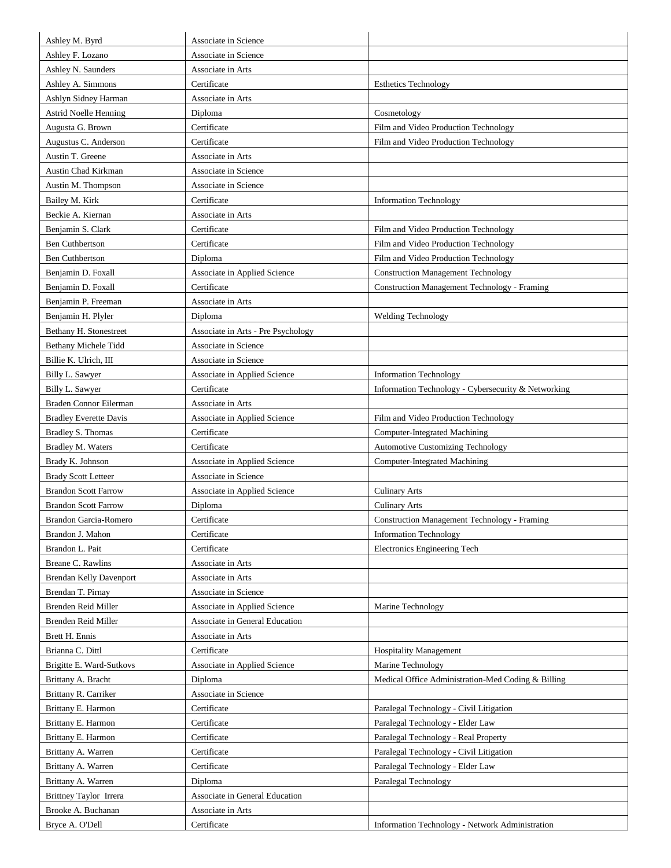| Ashley M. Byrd                 | Associate in Science               |                                                     |
|--------------------------------|------------------------------------|-----------------------------------------------------|
| Ashley F. Lozano               | Associate in Science               |                                                     |
| Ashley N. Saunders             | Associate in Arts                  |                                                     |
| Ashley A. Simmons              | Certificate                        | <b>Esthetics Technology</b>                         |
| Ashlyn Sidney Harman           | Associate in Arts                  |                                                     |
| <b>Astrid Noelle Henning</b>   | Diploma                            | Cosmetology                                         |
| Augusta G. Brown               | Certificate                        | Film and Video Production Technology                |
| Augustus C. Anderson           | Certificate                        | Film and Video Production Technology                |
| Austin T. Greene               | Associate in Arts                  |                                                     |
| Austin Chad Kirkman            | Associate in Science               |                                                     |
| Austin M. Thompson             | Associate in Science               |                                                     |
| Bailey M. Kirk                 | Certificate                        | <b>Information Technology</b>                       |
| Beckie A. Kiernan              | Associate in Arts                  |                                                     |
| Benjamin S. Clark              | Certificate                        | Film and Video Production Technology                |
| <b>Ben Cuthbertson</b>         | Certificate                        | Film and Video Production Technology                |
| <b>Ben Cuthbertson</b>         | Diploma                            | Film and Video Production Technology                |
| Benjamin D. Foxall             | Associate in Applied Science       | <b>Construction Management Technology</b>           |
| Benjamin D. Foxall             | Certificate                        | <b>Construction Management Technology - Framing</b> |
| Benjamin P. Freeman            | Associate in Arts                  |                                                     |
|                                |                                    | <b>Welding Technology</b>                           |
| Benjamin H. Plyler             | Diploma                            |                                                     |
| Bethany H. Stonestreet         | Associate in Arts - Pre Psychology |                                                     |
| Bethany Michele Tidd           | Associate in Science               |                                                     |
| Billie K. Ulrich, III          | Associate in Science               |                                                     |
| Billy L. Sawyer                | Associate in Applied Science       | <b>Information Technology</b>                       |
| Billy L. Sawyer                | Certificate                        | Information Technology - Cybersecurity & Networking |
| Braden Connor Eilerman         | Associate in Arts                  |                                                     |
| <b>Bradley Everette Davis</b>  | Associate in Applied Science       | Film and Video Production Technology                |
| Bradley S. Thomas              | Certificate                        | <b>Computer-Integrated Machining</b>                |
| Bradley M. Waters              | Certificate                        | Automotive Customizing Technology                   |
| Brady K. Johnson               | Associate in Applied Science       | <b>Computer-Integrated Machining</b>                |
| <b>Brady Scott Letteer</b>     | Associate in Science               |                                                     |
| <b>Brandon Scott Farrow</b>    | Associate in Applied Science       | <b>Culinary Arts</b>                                |
| <b>Brandon Scott Farrow</b>    | Diploma                            | <b>Culinary Arts</b>                                |
| Brandon Garcia-Romero          | Certificate                        | <b>Construction Management Technology - Framing</b> |
| Brandon J. Mahon               | Certificate                        | <b>Information Technology</b>                       |
| Brandon L. Pait                | Certificate                        | Electronics Engineering Tech                        |
| Breane C. Rawlins              | Associate in Arts                  |                                                     |
| <b>Brendan Kelly Davenport</b> | Associate in Arts                  |                                                     |
| Brendan T. Pirnay              | Associate in Science               |                                                     |
| Brenden Reid Miller            | Associate in Applied Science       | Marine Technology                                   |
| Brenden Reid Miller            | Associate in General Education     |                                                     |
| Brett H. Ennis                 | Associate in Arts                  |                                                     |
| Brianna C. Dittl               | Certificate                        | <b>Hospitality Management</b>                       |
| Brigitte E. Ward-Sutkovs       | Associate in Applied Science       | Marine Technology                                   |
| Brittany A. Bracht             | Diploma                            | Medical Office Administration-Med Coding & Billing  |
| Brittany R. Carriker           | Associate in Science               |                                                     |
| Brittany E. Harmon             | Certificate                        | Paralegal Technology - Civil Litigation             |
| Brittany E. Harmon             | Certificate                        | Paralegal Technology - Elder Law                    |
| Brittany E. Harmon             | Certificate                        | Paralegal Technology - Real Property                |
| Brittany A. Warren             | Certificate                        | Paralegal Technology - Civil Litigation             |
| Brittany A. Warren             | Certificate                        | Paralegal Technology - Elder Law                    |
| Brittany A. Warren             | Diploma                            | Paralegal Technology                                |
| Brittney Taylor Irrera         | Associate in General Education     |                                                     |
| Brooke A. Buchanan             | Associate in Arts                  |                                                     |
| Bryce A. O'Dell                | Certificate                        | Information Technology - Network Administration     |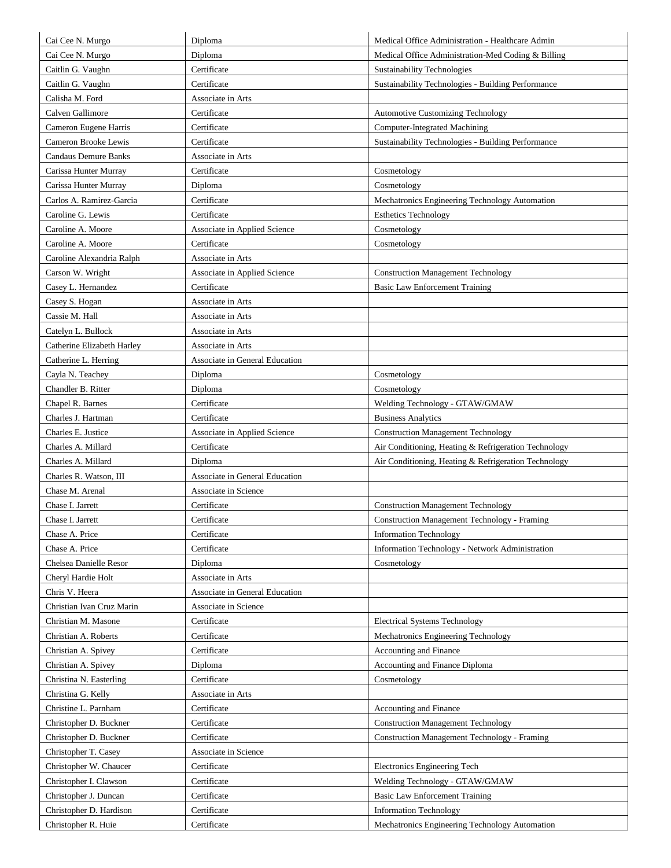| Cai Cee N. Murgo            | Diploma                        | Medical Office Administration - Healthcare Admin     |
|-----------------------------|--------------------------------|------------------------------------------------------|
| Cai Cee N. Murgo            | Diploma                        | Medical Office Administration-Med Coding & Billing   |
|                             | Certificate                    |                                                      |
| Caitlin G. Vaughn           |                                | Sustainability Technologies                          |
| Caitlin G. Vaughn           | Certificate                    | Sustainability Technologies - Building Performance   |
| Calisha M. Ford             | Associate in Arts              |                                                      |
| Calven Gallimore            | Certificate                    | <b>Automotive Customizing Technology</b>             |
| Cameron Eugene Harris       | Certificate                    | <b>Computer-Integrated Machining</b>                 |
| Cameron Brooke Lewis        | Certificate                    | Sustainability Technologies - Building Performance   |
| <b>Candaus Demure Banks</b> | Associate in Arts              |                                                      |
| Carissa Hunter Murray       | Certificate                    | Cosmetology                                          |
| Carissa Hunter Murray       | Diploma                        | Cosmetology                                          |
| Carlos A. Ramirez-Garcia    | Certificate                    | Mechatronics Engineering Technology Automation       |
| Caroline G. Lewis           | Certificate                    | <b>Esthetics Technology</b>                          |
| Caroline A. Moore           | Associate in Applied Science   | Cosmetology                                          |
| Caroline A. Moore           | Certificate                    | Cosmetology                                          |
| Caroline Alexandria Ralph   | Associate in Arts              |                                                      |
| Carson W. Wright            | Associate in Applied Science   | <b>Construction Management Technology</b>            |
| Casey L. Hernandez          | Certificate                    | <b>Basic Law Enforcement Training</b>                |
| Casey S. Hogan              | Associate in Arts              |                                                      |
| Cassie M. Hall              | Associate in Arts              |                                                      |
| Catelyn L. Bullock          | Associate in Arts              |                                                      |
| Catherine Elizabeth Harley  | Associate in Arts              |                                                      |
| Catherine L. Herring        | Associate in General Education |                                                      |
| Cayla N. Teachey            | Diploma                        | Cosmetology                                          |
| Chandler B. Ritter          | Diploma                        | Cosmetology                                          |
| Chapel R. Barnes            | Certificate                    | Welding Technology - GTAW/GMAW                       |
| Charles J. Hartman          | Certificate                    | <b>Business Analytics</b>                            |
| Charles E. Justice          | Associate in Applied Science   | <b>Construction Management Technology</b>            |
| Charles A. Millard          | Certificate                    | Air Conditioning, Heating & Refrigeration Technology |
| Charles A. Millard          | Diploma                        | Air Conditioning, Heating & Refrigeration Technology |
| Charles R. Watson, III      | Associate in General Education |                                                      |
| Chase M. Arenal             | Associate in Science           |                                                      |
| Chase I. Jarrett            | Certificate                    | <b>Construction Management Technology</b>            |
| Chase I. Jarrett            | Certificate                    | Construction Management Technology - Framing         |
| Chase A. Price              | Certificate                    | <b>Information Technology</b>                        |
| Chase A. Price              | Certificate                    | Information Technology - Network Administration      |
| Chelsea Danielle Resor      | Diploma                        | Cosmetology                                          |
| Cheryl Hardie Holt          | Associate in Arts              |                                                      |
| Chris V. Heera              | Associate in General Education |                                                      |
| Christian Ivan Cruz Marin   | Associate in Science           |                                                      |
| Christian M. Masone         | Certificate                    | <b>Electrical Systems Technology</b>                 |
| Christian A. Roberts        | Certificate                    | Mechatronics Engineering Technology                  |
| Christian A. Spivey         | Certificate                    | Accounting and Finance                               |
| Christian A. Spivey         | Diploma                        | Accounting and Finance Diploma                       |
| Christina N. Easterling     | Certificate                    | Cosmetology                                          |
| Christina G. Kelly          | Associate in Arts              |                                                      |
| Christine L. Parnham        | Certificate                    | Accounting and Finance                               |
| Christopher D. Buckner      | Certificate                    | <b>Construction Management Technology</b>            |
| Christopher D. Buckner      | Certificate                    | <b>Construction Management Technology - Framing</b>  |
| Christopher T. Casey        | Associate in Science           |                                                      |
| Christopher W. Chaucer      | Certificate                    | Electronics Engineering Tech                         |
|                             |                                |                                                      |
| Christopher I. Clawson      | Certificate                    | Welding Technology - GTAW/GMAW                       |
| Christopher J. Duncan       | Certificate                    | <b>Basic Law Enforcement Training</b>                |
| Christopher D. Hardison     | Certificate                    | <b>Information Technology</b>                        |
| Christopher R. Huie         | Certificate                    | Mechatronics Engineering Technology Automation       |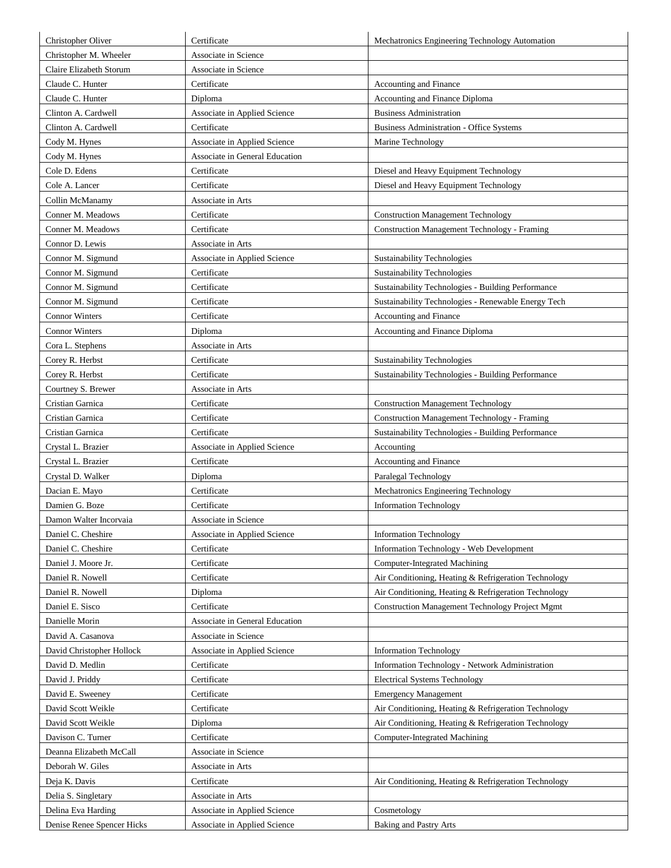| Christopher Oliver         | Certificate                    | Mechatronics Engineering Technology Automation         |
|----------------------------|--------------------------------|--------------------------------------------------------|
| Christopher M. Wheeler     | Associate in Science           |                                                        |
| Claire Elizabeth Storum    | Associate in Science           |                                                        |
| Claude C. Hunter           | Certificate                    | Accounting and Finance                                 |
| Claude C. Hunter           | Diploma                        | Accounting and Finance Diploma                         |
| Clinton A. Cardwell        | Associate in Applied Science   | <b>Business Administration</b>                         |
| Clinton A. Cardwell        | Certificate                    | <b>Business Administration - Office Systems</b>        |
| Cody M. Hynes              | Associate in Applied Science   | Marine Technology                                      |
| Cody M. Hynes              | Associate in General Education |                                                        |
| Cole D. Edens              | Certificate                    | Diesel and Heavy Equipment Technology                  |
| Cole A. Lancer             | Certificate                    | Diesel and Heavy Equipment Technology                  |
| Collin McManamy            | Associate in Arts              |                                                        |
| Conner M. Meadows          | Certificate                    | <b>Construction Management Technology</b>              |
| Conner M. Meadows          | Certificate                    | <b>Construction Management Technology - Framing</b>    |
| Connor D. Lewis            | Associate in Arts              |                                                        |
| Connor M. Sigmund          | Associate in Applied Science   | Sustainability Technologies                            |
| Connor M. Sigmund          | Certificate                    | <b>Sustainability Technologies</b>                     |
| Connor M. Sigmund          | Certificate                    | Sustainability Technologies - Building Performance     |
| Connor M. Sigmund          | Certificate                    | Sustainability Technologies - Renewable Energy Tech    |
| <b>Connor Winters</b>      | Certificate                    | Accounting and Finance                                 |
| <b>Connor Winters</b>      | Diploma                        | Accounting and Finance Diploma                         |
| Cora L. Stephens           | Associate in Arts              |                                                        |
| Corey R. Herbst            | Certificate                    | Sustainability Technologies                            |
| Corey R. Herbst            | Certificate                    | Sustainability Technologies - Building Performance     |
| Courtney S. Brewer         | Associate in Arts              |                                                        |
| Cristian Garnica           | Certificate                    | <b>Construction Management Technology</b>              |
| Cristian Garnica           | Certificate                    | <b>Construction Management Technology - Framing</b>    |
| Cristian Garnica           | Certificate                    | Sustainability Technologies - Building Performance     |
| Crystal L. Brazier         | Associate in Applied Science   | Accounting                                             |
| Crystal L. Brazier         | Certificate                    | Accounting and Finance                                 |
| Crystal D. Walker          | Diploma                        | Paralegal Technology                                   |
| Dacian E. Mayo             | Certificate                    | Mechatronics Engineering Technology                    |
| Damien G. Boze             | Certificate                    | <b>Information Technology</b>                          |
| Damon Walter Incorvaia     | Associate in Science           |                                                        |
| Daniel C. Cheshire         | Associate in Applied Science   | <b>Information Technology</b>                          |
| Daniel C. Cheshire         | Certificate                    | Information Technology - Web Development               |
| Daniel J. Moore Jr.        | Certificate                    | <b>Computer-Integrated Machining</b>                   |
| Daniel R. Nowell           | Certificate                    | Air Conditioning, Heating & Refrigeration Technology   |
| Daniel R. Nowell           | Diploma                        | Air Conditioning, Heating & Refrigeration Technology   |
| Daniel E. Sisco            | Certificate                    | <b>Construction Management Technology Project Mgmt</b> |
| Danielle Morin             | Associate in General Education |                                                        |
| David A. Casanova          | Associate in Science           |                                                        |
| David Christopher Hollock  | Associate in Applied Science   | <b>Information Technology</b>                          |
| David D. Medlin            | Certificate                    | Information Technology - Network Administration        |
| David J. Priddy            | Certificate                    | <b>Electrical Systems Technology</b>                   |
| David E. Sweeney           | Certificate                    | <b>Emergency Management</b>                            |
| David Scott Weikle         | Certificate                    | Air Conditioning, Heating & Refrigeration Technology   |
| David Scott Weikle         | Diploma                        | Air Conditioning, Heating & Refrigeration Technology   |
| Davison C. Turner          | Certificate                    | Computer-Integrated Machining                          |
| Deanna Elizabeth McCall    | Associate in Science           |                                                        |
| Deborah W. Giles           | Associate in Arts              |                                                        |
| Deja K. Davis              | Certificate                    | Air Conditioning, Heating & Refrigeration Technology   |
| Delia S. Singletary        | Associate in Arts              |                                                        |
| Delina Eva Harding         | Associate in Applied Science   | Cosmetology                                            |
| Denise Renee Spencer Hicks | Associate in Applied Science   | Baking and Pastry Arts                                 |
|                            |                                |                                                        |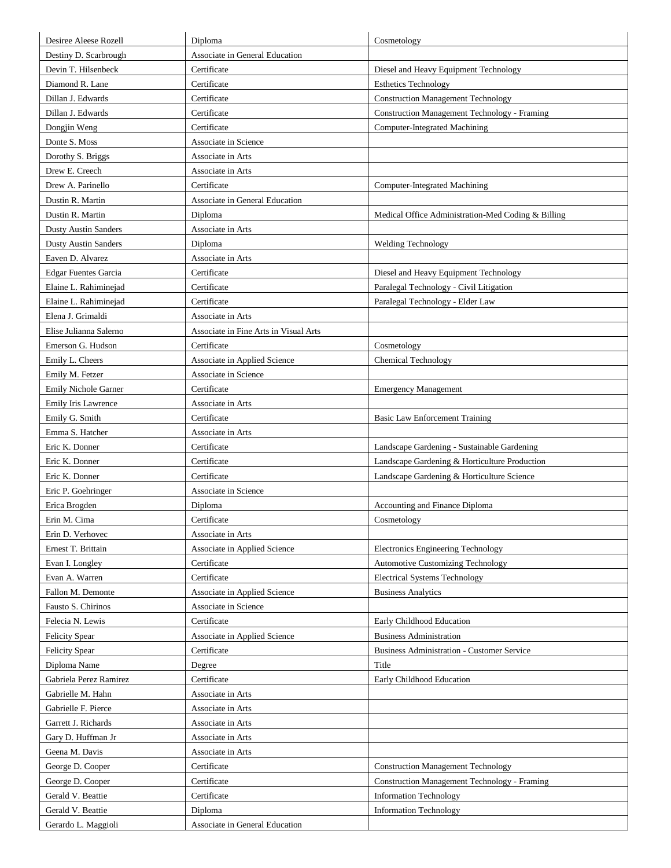| Destiny D. Scarbrough<br>Associate in General Education<br>Devin T. Hilsenbeck<br>Certificate<br>Diesel and Heavy Equipment Technology<br>Diamond R. Lane<br>Certificate<br><b>Esthetics Technology</b><br>Dillan J. Edwards<br><b>Construction Management Technology</b><br>Certificate<br><b>Construction Management Technology - Framing</b><br>Dillan J. Edwards<br>Certificate<br>Certificate<br><b>Computer-Integrated Machining</b><br>Dongjin Weng<br>Donte S. Moss<br>Associate in Science<br>Dorothy S. Briggs<br>Associate in Arts<br>Drew E. Creech<br>Associate in Arts<br>Drew A. Parinello<br>Certificate<br>Computer-Integrated Machining<br>Dustin R. Martin<br>Associate in General Education<br>Dustin R. Martin<br>Diploma<br>Medical Office Administration-Med Coding & Billing<br><b>Dusty Austin Sanders</b><br>Associate in Arts<br><b>Dusty Austin Sanders</b><br>Diploma<br><b>Welding Technology</b><br>Eaven D. Alvarez<br>Associate in Arts<br>Certificate<br>Diesel and Heavy Equipment Technology<br><b>Edgar Fuentes Garcia</b><br>Elaine L. Rahiminejad<br>Certificate<br>Paralegal Technology - Civil Litigation<br>Elaine L. Rahiminejad<br>Paralegal Technology - Elder Law<br>Certificate<br>Elena J. Grimaldi<br>Associate in Arts<br>Elise Julianna Salerno<br>Associate in Fine Arts in Visual Arts<br>Emerson G. Hudson<br>Certificate<br>Cosmetology<br>Associate in Applied Science<br>Emily L. Cheers<br><b>Chemical Technology</b><br>Emily M. Fetzer<br>Associate in Science<br><b>Emily Nichole Garner</b><br>Certificate<br><b>Emergency Management</b><br>Emily Iris Lawrence<br>Associate in Arts<br>Emily G. Smith<br>Certificate<br>Basic Law Enforcement Training<br>Emma S. Hatcher<br>Associate in Arts<br>Eric K. Donner<br>Certificate<br>Landscape Gardening - Sustainable Gardening<br>Eric K. Donner<br>Certificate<br>Landscape Gardening & Horticulture Production<br>Eric K. Donner<br>Certificate<br>Landscape Gardening & Horticulture Science<br>Eric P. Goehringer<br>Associate in Science<br>Accounting and Finance Diploma<br>Erica Brogden<br>Diploma<br>Erin M. Cima<br>Certificate<br>Cosmetology<br>Erin D. Verhovec<br>Associate in Arts<br>Ernest T. Brittain<br>Associate in Applied Science<br>Electronics Engineering Technology<br>Certificate<br><b>Automotive Customizing Technology</b><br>Evan I. Longley<br>Evan A. Warren<br>Certificate<br><b>Electrical Systems Technology</b><br><b>Business Analytics</b><br>Fallon M. Demonte<br>Associate in Applied Science |  |
|---------------------------------------------------------------------------------------------------------------------------------------------------------------------------------------------------------------------------------------------------------------------------------------------------------------------------------------------------------------------------------------------------------------------------------------------------------------------------------------------------------------------------------------------------------------------------------------------------------------------------------------------------------------------------------------------------------------------------------------------------------------------------------------------------------------------------------------------------------------------------------------------------------------------------------------------------------------------------------------------------------------------------------------------------------------------------------------------------------------------------------------------------------------------------------------------------------------------------------------------------------------------------------------------------------------------------------------------------------------------------------------------------------------------------------------------------------------------------------------------------------------------------------------------------------------------------------------------------------------------------------------------------------------------------------------------------------------------------------------------------------------------------------------------------------------------------------------------------------------------------------------------------------------------------------------------------------------------------------------------------------------------------------------------------------------------------------------------------------------------------------------------------------------------------------------------------------------------------------------------------------------------------------------------------------------------------------------------------------------------------------------------------------------------------------------------------------------------------------------------------------------------------------------------------------|--|
|                                                                                                                                                                                                                                                                                                                                                                                                                                                                                                                                                                                                                                                                                                                                                                                                                                                                                                                                                                                                                                                                                                                                                                                                                                                                                                                                                                                                                                                                                                                                                                                                                                                                                                                                                                                                                                                                                                                                                                                                                                                                                                                                                                                                                                                                                                                                                                                                                                                                                                                                                         |  |
|                                                                                                                                                                                                                                                                                                                                                                                                                                                                                                                                                                                                                                                                                                                                                                                                                                                                                                                                                                                                                                                                                                                                                                                                                                                                                                                                                                                                                                                                                                                                                                                                                                                                                                                                                                                                                                                                                                                                                                                                                                                                                                                                                                                                                                                                                                                                                                                                                                                                                                                                                         |  |
|                                                                                                                                                                                                                                                                                                                                                                                                                                                                                                                                                                                                                                                                                                                                                                                                                                                                                                                                                                                                                                                                                                                                                                                                                                                                                                                                                                                                                                                                                                                                                                                                                                                                                                                                                                                                                                                                                                                                                                                                                                                                                                                                                                                                                                                                                                                                                                                                                                                                                                                                                         |  |
|                                                                                                                                                                                                                                                                                                                                                                                                                                                                                                                                                                                                                                                                                                                                                                                                                                                                                                                                                                                                                                                                                                                                                                                                                                                                                                                                                                                                                                                                                                                                                                                                                                                                                                                                                                                                                                                                                                                                                                                                                                                                                                                                                                                                                                                                                                                                                                                                                                                                                                                                                         |  |
|                                                                                                                                                                                                                                                                                                                                                                                                                                                                                                                                                                                                                                                                                                                                                                                                                                                                                                                                                                                                                                                                                                                                                                                                                                                                                                                                                                                                                                                                                                                                                                                                                                                                                                                                                                                                                                                                                                                                                                                                                                                                                                                                                                                                                                                                                                                                                                                                                                                                                                                                                         |  |
|                                                                                                                                                                                                                                                                                                                                                                                                                                                                                                                                                                                                                                                                                                                                                                                                                                                                                                                                                                                                                                                                                                                                                                                                                                                                                                                                                                                                                                                                                                                                                                                                                                                                                                                                                                                                                                                                                                                                                                                                                                                                                                                                                                                                                                                                                                                                                                                                                                                                                                                                                         |  |
|                                                                                                                                                                                                                                                                                                                                                                                                                                                                                                                                                                                                                                                                                                                                                                                                                                                                                                                                                                                                                                                                                                                                                                                                                                                                                                                                                                                                                                                                                                                                                                                                                                                                                                                                                                                                                                                                                                                                                                                                                                                                                                                                                                                                                                                                                                                                                                                                                                                                                                                                                         |  |
|                                                                                                                                                                                                                                                                                                                                                                                                                                                                                                                                                                                                                                                                                                                                                                                                                                                                                                                                                                                                                                                                                                                                                                                                                                                                                                                                                                                                                                                                                                                                                                                                                                                                                                                                                                                                                                                                                                                                                                                                                                                                                                                                                                                                                                                                                                                                                                                                                                                                                                                                                         |  |
|                                                                                                                                                                                                                                                                                                                                                                                                                                                                                                                                                                                                                                                                                                                                                                                                                                                                                                                                                                                                                                                                                                                                                                                                                                                                                                                                                                                                                                                                                                                                                                                                                                                                                                                                                                                                                                                                                                                                                                                                                                                                                                                                                                                                                                                                                                                                                                                                                                                                                                                                                         |  |
|                                                                                                                                                                                                                                                                                                                                                                                                                                                                                                                                                                                                                                                                                                                                                                                                                                                                                                                                                                                                                                                                                                                                                                                                                                                                                                                                                                                                                                                                                                                                                                                                                                                                                                                                                                                                                                                                                                                                                                                                                                                                                                                                                                                                                                                                                                                                                                                                                                                                                                                                                         |  |
|                                                                                                                                                                                                                                                                                                                                                                                                                                                                                                                                                                                                                                                                                                                                                                                                                                                                                                                                                                                                                                                                                                                                                                                                                                                                                                                                                                                                                                                                                                                                                                                                                                                                                                                                                                                                                                                                                                                                                                                                                                                                                                                                                                                                                                                                                                                                                                                                                                                                                                                                                         |  |
|                                                                                                                                                                                                                                                                                                                                                                                                                                                                                                                                                                                                                                                                                                                                                                                                                                                                                                                                                                                                                                                                                                                                                                                                                                                                                                                                                                                                                                                                                                                                                                                                                                                                                                                                                                                                                                                                                                                                                                                                                                                                                                                                                                                                                                                                                                                                                                                                                                                                                                                                                         |  |
|                                                                                                                                                                                                                                                                                                                                                                                                                                                                                                                                                                                                                                                                                                                                                                                                                                                                                                                                                                                                                                                                                                                                                                                                                                                                                                                                                                                                                                                                                                                                                                                                                                                                                                                                                                                                                                                                                                                                                                                                                                                                                                                                                                                                                                                                                                                                                                                                                                                                                                                                                         |  |
|                                                                                                                                                                                                                                                                                                                                                                                                                                                                                                                                                                                                                                                                                                                                                                                                                                                                                                                                                                                                                                                                                                                                                                                                                                                                                                                                                                                                                                                                                                                                                                                                                                                                                                                                                                                                                                                                                                                                                                                                                                                                                                                                                                                                                                                                                                                                                                                                                                                                                                                                                         |  |
|                                                                                                                                                                                                                                                                                                                                                                                                                                                                                                                                                                                                                                                                                                                                                                                                                                                                                                                                                                                                                                                                                                                                                                                                                                                                                                                                                                                                                                                                                                                                                                                                                                                                                                                                                                                                                                                                                                                                                                                                                                                                                                                                                                                                                                                                                                                                                                                                                                                                                                                                                         |  |
|                                                                                                                                                                                                                                                                                                                                                                                                                                                                                                                                                                                                                                                                                                                                                                                                                                                                                                                                                                                                                                                                                                                                                                                                                                                                                                                                                                                                                                                                                                                                                                                                                                                                                                                                                                                                                                                                                                                                                                                                                                                                                                                                                                                                                                                                                                                                                                                                                                                                                                                                                         |  |
|                                                                                                                                                                                                                                                                                                                                                                                                                                                                                                                                                                                                                                                                                                                                                                                                                                                                                                                                                                                                                                                                                                                                                                                                                                                                                                                                                                                                                                                                                                                                                                                                                                                                                                                                                                                                                                                                                                                                                                                                                                                                                                                                                                                                                                                                                                                                                                                                                                                                                                                                                         |  |
|                                                                                                                                                                                                                                                                                                                                                                                                                                                                                                                                                                                                                                                                                                                                                                                                                                                                                                                                                                                                                                                                                                                                                                                                                                                                                                                                                                                                                                                                                                                                                                                                                                                                                                                                                                                                                                                                                                                                                                                                                                                                                                                                                                                                                                                                                                                                                                                                                                                                                                                                                         |  |
|                                                                                                                                                                                                                                                                                                                                                                                                                                                                                                                                                                                                                                                                                                                                                                                                                                                                                                                                                                                                                                                                                                                                                                                                                                                                                                                                                                                                                                                                                                                                                                                                                                                                                                                                                                                                                                                                                                                                                                                                                                                                                                                                                                                                                                                                                                                                                                                                                                                                                                                                                         |  |
|                                                                                                                                                                                                                                                                                                                                                                                                                                                                                                                                                                                                                                                                                                                                                                                                                                                                                                                                                                                                                                                                                                                                                                                                                                                                                                                                                                                                                                                                                                                                                                                                                                                                                                                                                                                                                                                                                                                                                                                                                                                                                                                                                                                                                                                                                                                                                                                                                                                                                                                                                         |  |
|                                                                                                                                                                                                                                                                                                                                                                                                                                                                                                                                                                                                                                                                                                                                                                                                                                                                                                                                                                                                                                                                                                                                                                                                                                                                                                                                                                                                                                                                                                                                                                                                                                                                                                                                                                                                                                                                                                                                                                                                                                                                                                                                                                                                                                                                                                                                                                                                                                                                                                                                                         |  |
|                                                                                                                                                                                                                                                                                                                                                                                                                                                                                                                                                                                                                                                                                                                                                                                                                                                                                                                                                                                                                                                                                                                                                                                                                                                                                                                                                                                                                                                                                                                                                                                                                                                                                                                                                                                                                                                                                                                                                                                                                                                                                                                                                                                                                                                                                                                                                                                                                                                                                                                                                         |  |
|                                                                                                                                                                                                                                                                                                                                                                                                                                                                                                                                                                                                                                                                                                                                                                                                                                                                                                                                                                                                                                                                                                                                                                                                                                                                                                                                                                                                                                                                                                                                                                                                                                                                                                                                                                                                                                                                                                                                                                                                                                                                                                                                                                                                                                                                                                                                                                                                                                                                                                                                                         |  |
|                                                                                                                                                                                                                                                                                                                                                                                                                                                                                                                                                                                                                                                                                                                                                                                                                                                                                                                                                                                                                                                                                                                                                                                                                                                                                                                                                                                                                                                                                                                                                                                                                                                                                                                                                                                                                                                                                                                                                                                                                                                                                                                                                                                                                                                                                                                                                                                                                                                                                                                                                         |  |
|                                                                                                                                                                                                                                                                                                                                                                                                                                                                                                                                                                                                                                                                                                                                                                                                                                                                                                                                                                                                                                                                                                                                                                                                                                                                                                                                                                                                                                                                                                                                                                                                                                                                                                                                                                                                                                                                                                                                                                                                                                                                                                                                                                                                                                                                                                                                                                                                                                                                                                                                                         |  |
|                                                                                                                                                                                                                                                                                                                                                                                                                                                                                                                                                                                                                                                                                                                                                                                                                                                                                                                                                                                                                                                                                                                                                                                                                                                                                                                                                                                                                                                                                                                                                                                                                                                                                                                                                                                                                                                                                                                                                                                                                                                                                                                                                                                                                                                                                                                                                                                                                                                                                                                                                         |  |
|                                                                                                                                                                                                                                                                                                                                                                                                                                                                                                                                                                                                                                                                                                                                                                                                                                                                                                                                                                                                                                                                                                                                                                                                                                                                                                                                                                                                                                                                                                                                                                                                                                                                                                                                                                                                                                                                                                                                                                                                                                                                                                                                                                                                                                                                                                                                                                                                                                                                                                                                                         |  |
|                                                                                                                                                                                                                                                                                                                                                                                                                                                                                                                                                                                                                                                                                                                                                                                                                                                                                                                                                                                                                                                                                                                                                                                                                                                                                                                                                                                                                                                                                                                                                                                                                                                                                                                                                                                                                                                                                                                                                                                                                                                                                                                                                                                                                                                                                                                                                                                                                                                                                                                                                         |  |
|                                                                                                                                                                                                                                                                                                                                                                                                                                                                                                                                                                                                                                                                                                                                                                                                                                                                                                                                                                                                                                                                                                                                                                                                                                                                                                                                                                                                                                                                                                                                                                                                                                                                                                                                                                                                                                                                                                                                                                                                                                                                                                                                                                                                                                                                                                                                                                                                                                                                                                                                                         |  |
|                                                                                                                                                                                                                                                                                                                                                                                                                                                                                                                                                                                                                                                                                                                                                                                                                                                                                                                                                                                                                                                                                                                                                                                                                                                                                                                                                                                                                                                                                                                                                                                                                                                                                                                                                                                                                                                                                                                                                                                                                                                                                                                                                                                                                                                                                                                                                                                                                                                                                                                                                         |  |
|                                                                                                                                                                                                                                                                                                                                                                                                                                                                                                                                                                                                                                                                                                                                                                                                                                                                                                                                                                                                                                                                                                                                                                                                                                                                                                                                                                                                                                                                                                                                                                                                                                                                                                                                                                                                                                                                                                                                                                                                                                                                                                                                                                                                                                                                                                                                                                                                                                                                                                                                                         |  |
|                                                                                                                                                                                                                                                                                                                                                                                                                                                                                                                                                                                                                                                                                                                                                                                                                                                                                                                                                                                                                                                                                                                                                                                                                                                                                                                                                                                                                                                                                                                                                                                                                                                                                                                                                                                                                                                                                                                                                                                                                                                                                                                                                                                                                                                                                                                                                                                                                                                                                                                                                         |  |
|                                                                                                                                                                                                                                                                                                                                                                                                                                                                                                                                                                                                                                                                                                                                                                                                                                                                                                                                                                                                                                                                                                                                                                                                                                                                                                                                                                                                                                                                                                                                                                                                                                                                                                                                                                                                                                                                                                                                                                                                                                                                                                                                                                                                                                                                                                                                                                                                                                                                                                                                                         |  |
|                                                                                                                                                                                                                                                                                                                                                                                                                                                                                                                                                                                                                                                                                                                                                                                                                                                                                                                                                                                                                                                                                                                                                                                                                                                                                                                                                                                                                                                                                                                                                                                                                                                                                                                                                                                                                                                                                                                                                                                                                                                                                                                                                                                                                                                                                                                                                                                                                                                                                                                                                         |  |
|                                                                                                                                                                                                                                                                                                                                                                                                                                                                                                                                                                                                                                                                                                                                                                                                                                                                                                                                                                                                                                                                                                                                                                                                                                                                                                                                                                                                                                                                                                                                                                                                                                                                                                                                                                                                                                                                                                                                                                                                                                                                                                                                                                                                                                                                                                                                                                                                                                                                                                                                                         |  |
|                                                                                                                                                                                                                                                                                                                                                                                                                                                                                                                                                                                                                                                                                                                                                                                                                                                                                                                                                                                                                                                                                                                                                                                                                                                                                                                                                                                                                                                                                                                                                                                                                                                                                                                                                                                                                                                                                                                                                                                                                                                                                                                                                                                                                                                                                                                                                                                                                                                                                                                                                         |  |
|                                                                                                                                                                                                                                                                                                                                                                                                                                                                                                                                                                                                                                                                                                                                                                                                                                                                                                                                                                                                                                                                                                                                                                                                                                                                                                                                                                                                                                                                                                                                                                                                                                                                                                                                                                                                                                                                                                                                                                                                                                                                                                                                                                                                                                                                                                                                                                                                                                                                                                                                                         |  |
|                                                                                                                                                                                                                                                                                                                                                                                                                                                                                                                                                                                                                                                                                                                                                                                                                                                                                                                                                                                                                                                                                                                                                                                                                                                                                                                                                                                                                                                                                                                                                                                                                                                                                                                                                                                                                                                                                                                                                                                                                                                                                                                                                                                                                                                                                                                                                                                                                                                                                                                                                         |  |
| Fausto S. Chirinos<br>Associate in Science                                                                                                                                                                                                                                                                                                                                                                                                                                                                                                                                                                                                                                                                                                                                                                                                                                                                                                                                                                                                                                                                                                                                                                                                                                                                                                                                                                                                                                                                                                                                                                                                                                                                                                                                                                                                                                                                                                                                                                                                                                                                                                                                                                                                                                                                                                                                                                                                                                                                                                              |  |
| Certificate<br>Felecia N. Lewis<br>Early Childhood Education                                                                                                                                                                                                                                                                                                                                                                                                                                                                                                                                                                                                                                                                                                                                                                                                                                                                                                                                                                                                                                                                                                                                                                                                                                                                                                                                                                                                                                                                                                                                                                                                                                                                                                                                                                                                                                                                                                                                                                                                                                                                                                                                                                                                                                                                                                                                                                                                                                                                                            |  |
| Associate in Applied Science<br><b>Business Administration</b><br><b>Felicity Spear</b>                                                                                                                                                                                                                                                                                                                                                                                                                                                                                                                                                                                                                                                                                                                                                                                                                                                                                                                                                                                                                                                                                                                                                                                                                                                                                                                                                                                                                                                                                                                                                                                                                                                                                                                                                                                                                                                                                                                                                                                                                                                                                                                                                                                                                                                                                                                                                                                                                                                                 |  |
| Certificate<br><b>Felicity Spear</b><br><b>Business Administration - Customer Service</b>                                                                                                                                                                                                                                                                                                                                                                                                                                                                                                                                                                                                                                                                                                                                                                                                                                                                                                                                                                                                                                                                                                                                                                                                                                                                                                                                                                                                                                                                                                                                                                                                                                                                                                                                                                                                                                                                                                                                                                                                                                                                                                                                                                                                                                                                                                                                                                                                                                                               |  |
| Diploma Name<br>Title<br>Degree                                                                                                                                                                                                                                                                                                                                                                                                                                                                                                                                                                                                                                                                                                                                                                                                                                                                                                                                                                                                                                                                                                                                                                                                                                                                                                                                                                                                                                                                                                                                                                                                                                                                                                                                                                                                                                                                                                                                                                                                                                                                                                                                                                                                                                                                                                                                                                                                                                                                                                                         |  |
| Gabriela Perez Ramirez<br>Certificate<br>Early Childhood Education                                                                                                                                                                                                                                                                                                                                                                                                                                                                                                                                                                                                                                                                                                                                                                                                                                                                                                                                                                                                                                                                                                                                                                                                                                                                                                                                                                                                                                                                                                                                                                                                                                                                                                                                                                                                                                                                                                                                                                                                                                                                                                                                                                                                                                                                                                                                                                                                                                                                                      |  |
| Gabrielle M. Hahn<br>Associate in Arts                                                                                                                                                                                                                                                                                                                                                                                                                                                                                                                                                                                                                                                                                                                                                                                                                                                                                                                                                                                                                                                                                                                                                                                                                                                                                                                                                                                                                                                                                                                                                                                                                                                                                                                                                                                                                                                                                                                                                                                                                                                                                                                                                                                                                                                                                                                                                                                                                                                                                                                  |  |
| Gabrielle F. Pierce<br>Associate in Arts                                                                                                                                                                                                                                                                                                                                                                                                                                                                                                                                                                                                                                                                                                                                                                                                                                                                                                                                                                                                                                                                                                                                                                                                                                                                                                                                                                                                                                                                                                                                                                                                                                                                                                                                                                                                                                                                                                                                                                                                                                                                                                                                                                                                                                                                                                                                                                                                                                                                                                                |  |
| Garrett J. Richards<br>Associate in Arts                                                                                                                                                                                                                                                                                                                                                                                                                                                                                                                                                                                                                                                                                                                                                                                                                                                                                                                                                                                                                                                                                                                                                                                                                                                                                                                                                                                                                                                                                                                                                                                                                                                                                                                                                                                                                                                                                                                                                                                                                                                                                                                                                                                                                                                                                                                                                                                                                                                                                                                |  |
| Gary D. Huffman Jr<br>Associate in Arts                                                                                                                                                                                                                                                                                                                                                                                                                                                                                                                                                                                                                                                                                                                                                                                                                                                                                                                                                                                                                                                                                                                                                                                                                                                                                                                                                                                                                                                                                                                                                                                                                                                                                                                                                                                                                                                                                                                                                                                                                                                                                                                                                                                                                                                                                                                                                                                                                                                                                                                 |  |
| Geena M. Davis<br>Associate in Arts                                                                                                                                                                                                                                                                                                                                                                                                                                                                                                                                                                                                                                                                                                                                                                                                                                                                                                                                                                                                                                                                                                                                                                                                                                                                                                                                                                                                                                                                                                                                                                                                                                                                                                                                                                                                                                                                                                                                                                                                                                                                                                                                                                                                                                                                                                                                                                                                                                                                                                                     |  |
| George D. Cooper<br>Certificate<br><b>Construction Management Technology</b>                                                                                                                                                                                                                                                                                                                                                                                                                                                                                                                                                                                                                                                                                                                                                                                                                                                                                                                                                                                                                                                                                                                                                                                                                                                                                                                                                                                                                                                                                                                                                                                                                                                                                                                                                                                                                                                                                                                                                                                                                                                                                                                                                                                                                                                                                                                                                                                                                                                                            |  |
| George D. Cooper<br>Certificate<br><b>Construction Management Technology - Framing</b>                                                                                                                                                                                                                                                                                                                                                                                                                                                                                                                                                                                                                                                                                                                                                                                                                                                                                                                                                                                                                                                                                                                                                                                                                                                                                                                                                                                                                                                                                                                                                                                                                                                                                                                                                                                                                                                                                                                                                                                                                                                                                                                                                                                                                                                                                                                                                                                                                                                                  |  |
| Gerald V. Beattie<br><b>Information Technology</b><br>Certificate                                                                                                                                                                                                                                                                                                                                                                                                                                                                                                                                                                                                                                                                                                                                                                                                                                                                                                                                                                                                                                                                                                                                                                                                                                                                                                                                                                                                                                                                                                                                                                                                                                                                                                                                                                                                                                                                                                                                                                                                                                                                                                                                                                                                                                                                                                                                                                                                                                                                                       |  |
| Gerald V. Beattie<br>Diploma<br><b>Information Technology</b>                                                                                                                                                                                                                                                                                                                                                                                                                                                                                                                                                                                                                                                                                                                                                                                                                                                                                                                                                                                                                                                                                                                                                                                                                                                                                                                                                                                                                                                                                                                                                                                                                                                                                                                                                                                                                                                                                                                                                                                                                                                                                                                                                                                                                                                                                                                                                                                                                                                                                           |  |
| Gerardo L. Maggioli<br>Associate in General Education                                                                                                                                                                                                                                                                                                                                                                                                                                                                                                                                                                                                                                                                                                                                                                                                                                                                                                                                                                                                                                                                                                                                                                                                                                                                                                                                                                                                                                                                                                                                                                                                                                                                                                                                                                                                                                                                                                                                                                                                                                                                                                                                                                                                                                                                                                                                                                                                                                                                                                   |  |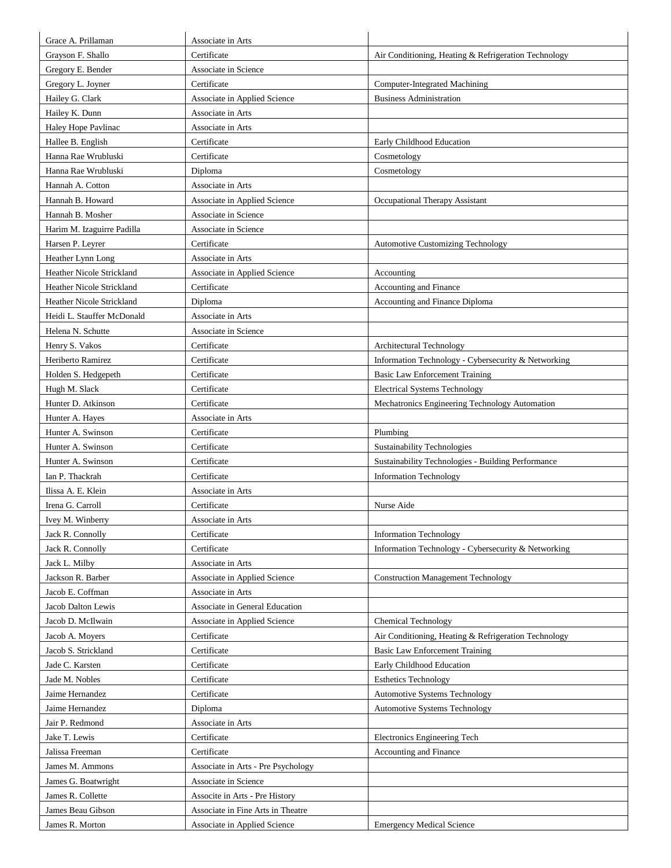| Grace A. Prillaman                     | Associate in Arts                                 |                                                                                      |
|----------------------------------------|---------------------------------------------------|--------------------------------------------------------------------------------------|
| Grayson F. Shallo                      | Certificate                                       | Air Conditioning, Heating & Refrigeration Technology                                 |
| Gregory E. Bender                      | Associate in Science                              |                                                                                      |
| Gregory L. Joyner                      | Certificate                                       | Computer-Integrated Machining                                                        |
| Hailey G. Clark                        | Associate in Applied Science                      | <b>Business Administration</b>                                                       |
| Hailey K. Dunn                         | Associate in Arts                                 |                                                                                      |
| Haley Hope Pavlinac                    | Associate in Arts                                 |                                                                                      |
| Hallee B. English                      | Certificate                                       | Early Childhood Education                                                            |
| Hanna Rae Wrubluski                    | Certificate                                       | Cosmetology                                                                          |
| Hanna Rae Wrubluski                    | Diploma                                           | Cosmetology                                                                          |
| Hannah A. Cotton                       | Associate in Arts                                 |                                                                                      |
| Hannah B. Howard                       | Associate in Applied Science                      | Occupational Therapy Assistant                                                       |
| Hannah B. Mosher                       | Associate in Science                              |                                                                                      |
| Harim M. Izaguirre Padilla             | Associate in Science                              |                                                                                      |
| Harsen P. Leyrer                       | Certificate                                       | <b>Automotive Customizing Technology</b>                                             |
| Heather Lynn Long                      | Associate in Arts                                 |                                                                                      |
| Heather Nicole Strickland              | Associate in Applied Science                      | Accounting                                                                           |
| Heather Nicole Strickland              | Certificate                                       | Accounting and Finance                                                               |
| Heather Nicole Strickland              | Diploma                                           | Accounting and Finance Diploma                                                       |
| Heidi L. Stauffer McDonald             | Associate in Arts                                 |                                                                                      |
| Helena N. Schutte                      | Associate in Science                              |                                                                                      |
| Henry S. Vakos                         | Certificate                                       | Architectural Technology                                                             |
| Heriberto Ramirez                      | Certificate                                       | Information Technology - Cybersecurity & Networking                                  |
|                                        |                                                   | <b>Basic Law Enforcement Training</b>                                                |
| Holden S. Hedgepeth<br>Hugh M. Slack   | Certificate<br>Certificate                        |                                                                                      |
|                                        | Certificate                                       | <b>Electrical Systems Technology</b>                                                 |
| Hunter D. Atkinson                     | Associate in Arts                                 | Mechatronics Engineering Technology Automation                                       |
| Hunter A. Hayes                        |                                                   |                                                                                      |
| Hunter A. Swinson<br>Hunter A. Swinson | Certificate                                       | Plumbing<br><b>Sustainability Technologies</b>                                       |
| Hunter A. Swinson                      | Certificate<br>Certificate                        | Sustainability Technologies - Building Performance                                   |
|                                        |                                                   |                                                                                      |
| Ian P. Thackrah<br>Ilissa A. E. Klein  | Certificate                                       | <b>Information Technology</b>                                                        |
| Irena G. Carroll                       | Associate in Arts                                 |                                                                                      |
|                                        | Certificate                                       | Nurse Aide                                                                           |
| Ivey M. Winberry                       | Associate in Arts<br>Certificate                  |                                                                                      |
| Jack R. Connolly                       |                                                   | <b>Information Technology</b><br>Information Technology - Cybersecurity & Networking |
| Jack R. Connolly                       | Certificate                                       |                                                                                      |
| Jack L. Milby<br>Jackson R. Barber     | Associate in Arts<br>Associate in Applied Science | <b>Construction Management Technology</b>                                            |
| Jacob E. Coffman                       | Associate in Arts                                 |                                                                                      |
| Jacob Dalton Lewis                     | Associate in General Education                    |                                                                                      |
|                                        | Associate in Applied Science                      |                                                                                      |
| Jacob D. McIlwain                      |                                                   | <b>Chemical Technology</b>                                                           |
| Jacob A. Moyers                        | Certificate<br>Certificate                        | Air Conditioning, Heating & Refrigeration Technology                                 |
| Jacob S. Strickland<br>Jade C. Karsten | Certificate                                       | <b>Basic Law Enforcement Training</b><br>Early Childhood Education                   |
|                                        |                                                   |                                                                                      |
| Jade M. Nobles                         | Certificate                                       | <b>Esthetics Technology</b>                                                          |
| Jaime Hernandez                        | Certificate                                       | <b>Automotive Systems Technology</b>                                                 |
| Jaime Hernandez                        | Diploma                                           | <b>Automotive Systems Technology</b>                                                 |
| Jair P. Redmond                        | Associate in Arts                                 |                                                                                      |
| Jake T. Lewis                          | Certificate                                       | Electronics Engineering Tech                                                         |
| Jalissa Freeman                        | Certificate                                       | Accounting and Finance                                                               |
| James M. Ammons                        | Associate in Arts - Pre Psychology                |                                                                                      |
| James G. Boatwright                    | Associate in Science                              |                                                                                      |
| James R. Collette                      | Associte in Arts - Pre History                    |                                                                                      |
| James Beau Gibson                      | Associate in Fine Arts in Theatre                 |                                                                                      |
| James R. Morton                        | Associate in Applied Science                      | <b>Emergency Medical Science</b>                                                     |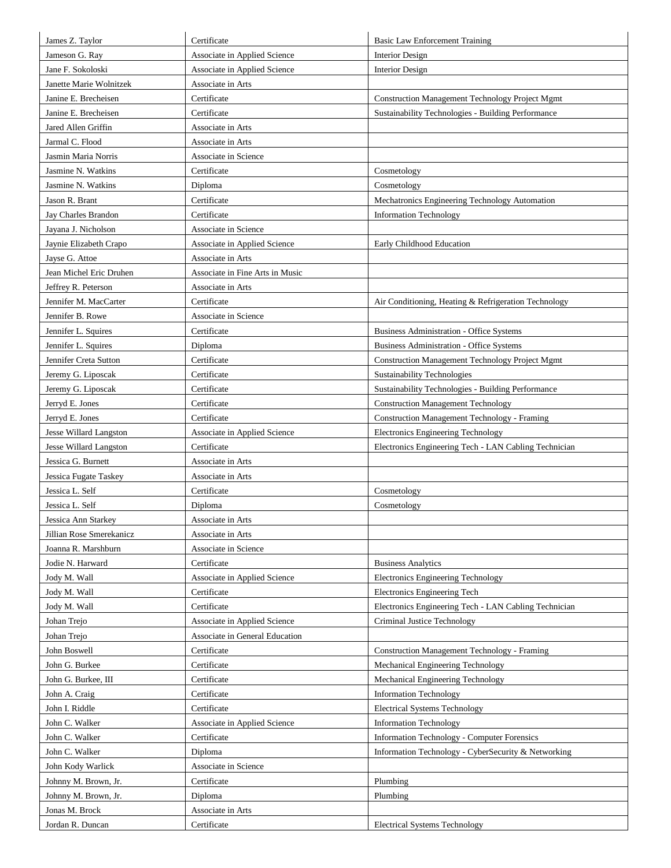| James Z. Taylor          | Certificate                     | <b>Basic Law Enforcement Training</b>                  |
|--------------------------|---------------------------------|--------------------------------------------------------|
| Jameson G. Ray           | Associate in Applied Science    | <b>Interior Design</b>                                 |
| Jane F. Sokoloski        | Associate in Applied Science    | <b>Interior Design</b>                                 |
| Janette Marie Wolnitzek  | Associate in Arts               |                                                        |
| Janine E. Brecheisen     | Certificate                     | <b>Construction Management Technology Project Mgmt</b> |
| Janine E. Brecheisen     | Certificate                     | Sustainability Technologies - Building Performance     |
| Jared Allen Griffin      | Associate in Arts               |                                                        |
| Jarmal C. Flood          | Associate in Arts               |                                                        |
| Jasmin Maria Norris      | Associate in Science            |                                                        |
| Jasmine N. Watkins       | Certificate                     | Cosmetology                                            |
| Jasmine N. Watkins       | Diploma                         | Cosmetology                                            |
| Jason R. Brant           | Certificate                     | Mechatronics Engineering Technology Automation         |
| Jay Charles Brandon      | Certificate                     | <b>Information Technology</b>                          |
| Jayana J. Nicholson      | Associate in Science            |                                                        |
| Jaynie Elizabeth Crapo   | Associate in Applied Science    | Early Childhood Education                              |
| Jayse G. Attoe           | Associate in Arts               |                                                        |
| Jean Michel Eric Druhen  | Associate in Fine Arts in Music |                                                        |
| Jeffrey R. Peterson      | Associate in Arts               |                                                        |
| Jennifer M. MacCarter    | Certificate                     | Air Conditioning, Heating & Refrigeration Technology   |
| Jennifer B. Rowe         | Associate in Science            |                                                        |
| Jennifer L. Squires      | Certificate                     | <b>Business Administration - Office Systems</b>        |
| Jennifer L. Squires      | Diploma                         | Business Administration - Office Systems               |
| Jennifer Creta Sutton    | Certificate                     | Construction Management Technology Project Mgmt        |
| Jeremy G. Liposcak       | Certificate                     | <b>Sustainability Technologies</b>                     |
| Jeremy G. Liposcak       | Certificate                     | Sustainability Technologies - Building Performance     |
| Jerryd E. Jones          | Certificate                     | <b>Construction Management Technology</b>              |
| Jerryd E. Jones          | Certificate                     | <b>Construction Management Technology - Framing</b>    |
| Jesse Willard Langston   | Associate in Applied Science    | Electronics Engineering Technology                     |
| Jesse Willard Langston   | Certificate                     | Electronics Engineering Tech - LAN Cabling Technician  |
| Jessica G. Burnett       | Associate in Arts               |                                                        |
| Jessica Fugate Taskey    | Associate in Arts               |                                                        |
| Jessica L. Self          | Certificate                     | Cosmetology                                            |
| Jessica L. Self          | Diploma                         | Cosmetology                                            |
| Jessica Ann Starkey      | Associate in Arts               |                                                        |
| Jillian Rose Smerekanicz | Associate in Arts               |                                                        |
| Joanna R. Marshburn      | Associate in Science            |                                                        |
| Jodie N. Harward         | Certificate                     | <b>Business Analytics</b>                              |
| Jody M. Wall             | Associate in Applied Science    | Electronics Engineering Technology                     |
| Jody M. Wall             | Certificate                     | Electronics Engineering Tech                           |
| Jody M. Wall             | Certificate                     | Electronics Engineering Tech - LAN Cabling Technician  |
| Johan Trejo              | Associate in Applied Science    | Criminal Justice Technology                            |
| Johan Trejo              | Associate in General Education  |                                                        |
| John Boswell             | Certificate                     | <b>Construction Management Technology - Framing</b>    |
| John G. Burkee           | Certificate                     | Mechanical Engineering Technology                      |
| John G. Burkee, III      | Certificate                     | Mechanical Engineering Technology                      |
| John A. Craig            | Certificate                     | <b>Information Technology</b>                          |
| John I. Riddle           | Certificate                     | <b>Electrical Systems Technology</b>                   |
| John C. Walker           | Associate in Applied Science    | <b>Information Technology</b>                          |
| John C. Walker           | Certificate                     | <b>Information Technology - Computer Forensics</b>     |
| John C. Walker           | Diploma                         | Information Technology - CyberSecurity & Networking    |
| John Kody Warlick        | Associate in Science            |                                                        |
| Johnny M. Brown, Jr.     | Certificate                     | Plumbing                                               |
| Johnny M. Brown, Jr.     | Diploma                         | Plumbing                                               |
| Jonas M. Brock           | Associate in Arts               |                                                        |
| Jordan R. Duncan         | Certificate                     | <b>Electrical Systems Technology</b>                   |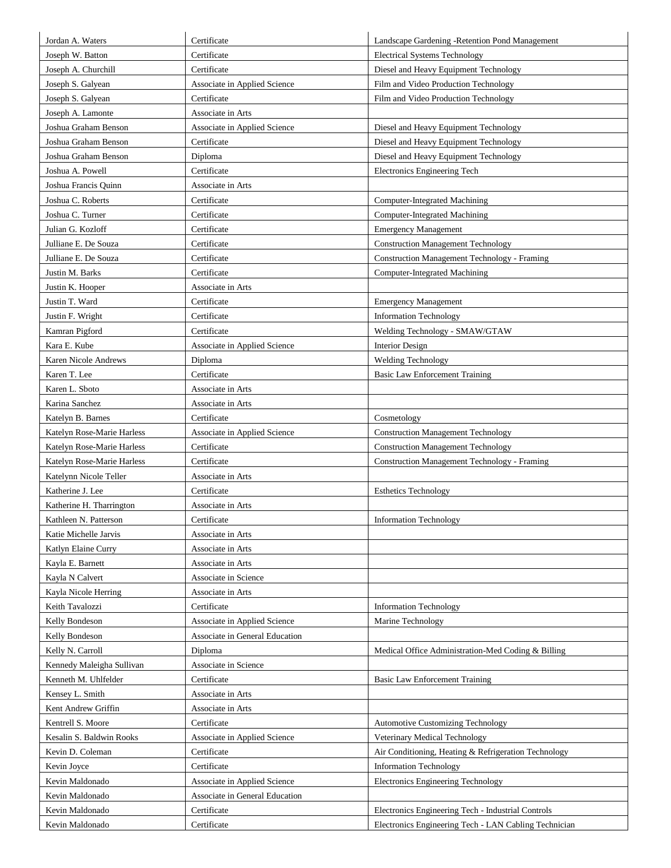| Jordan A. Waters           | Certificate                    | Landscape Gardening - Retention Pond Management       |
|----------------------------|--------------------------------|-------------------------------------------------------|
| Joseph W. Batton           | Certificate                    | <b>Electrical Systems Technology</b>                  |
| Joseph A. Churchill        | Certificate                    | Diesel and Heavy Equipment Technology                 |
| Joseph S. Galyean          | Associate in Applied Science   | Film and Video Production Technology                  |
| Joseph S. Galyean          | Certificate                    | Film and Video Production Technology                  |
| Joseph A. Lamonte          | Associate in Arts              |                                                       |
| Joshua Graham Benson       | Associate in Applied Science   | Diesel and Heavy Equipment Technology                 |
| Joshua Graham Benson       | Certificate                    | Diesel and Heavy Equipment Technology                 |
| Joshua Graham Benson       | Diploma                        | Diesel and Heavy Equipment Technology                 |
| Joshua A. Powell           | Certificate                    | Electronics Engineering Tech                          |
| Joshua Francis Quinn       | Associate in Arts              |                                                       |
| Joshua C. Roberts          | Certificate                    | Computer-Integrated Machining                         |
| Joshua C. Turner           | Certificate                    | <b>Computer-Integrated Machining</b>                  |
| Julian G. Kozloff          | Certificate                    | <b>Emergency Management</b>                           |
| Julliane E. De Souza       | Certificate                    | <b>Construction Management Technology</b>             |
| Julliane E. De Souza       | Certificate                    | <b>Construction Management Technology - Framing</b>   |
| Justin M. Barks            | Certificate                    | Computer-Integrated Machining                         |
| Justin K. Hooper           | Associate in Arts              |                                                       |
| Justin T. Ward             | Certificate                    | <b>Emergency Management</b>                           |
| Justin F. Wright           | Certificate                    | <b>Information Technology</b>                         |
| Kamran Pigford             | Certificate                    | Welding Technology - SMAW/GTAW                        |
| Kara E. Kube               | Associate in Applied Science   | <b>Interior Design</b>                                |
| Karen Nicole Andrews       | Diploma                        | <b>Welding Technology</b>                             |
| Karen T. Lee               | Certificate                    | Basic Law Enforcement Training                        |
| Karen L. Sboto             | Associate in Arts              |                                                       |
| Karina Sanchez             | Associate in Arts              |                                                       |
| Katelyn B. Barnes          | Certificate                    | Cosmetology                                           |
| Katelyn Rose-Marie Harless | Associate in Applied Science   | <b>Construction Management Technology</b>             |
| Katelyn Rose-Marie Harless | Certificate                    | <b>Construction Management Technology</b>             |
| Katelyn Rose-Marie Harless | Certificate                    | <b>Construction Management Technology - Framing</b>   |
| Katelynn Nicole Teller     | Associate in Arts              |                                                       |
| Katherine J. Lee           | Certificate                    | <b>Esthetics Technology</b>                           |
| Katherine H. Tharrington   | Associate in Arts              |                                                       |
| Kathleen N. Patterson      | Certificate                    | <b>Information Technology</b>                         |
| Katie Michelle Jarvis      | Associate in Arts              |                                                       |
| Katlyn Elaine Curry        | Associate in Arts              |                                                       |
| Kayla E. Barnett           | Associate in Arts              |                                                       |
| Kayla N Calvert            | Associate in Science           |                                                       |
| Kayla Nicole Herring       | Associate in Arts              |                                                       |
| Keith Tavalozzi            | Certificate                    | <b>Information Technology</b>                         |
| Kelly Bondeson             | Associate in Applied Science   | Marine Technology                                     |
| Kelly Bondeson             | Associate in General Education |                                                       |
| Kelly N. Carroll           | Diploma                        | Medical Office Administration-Med Coding & Billing    |
| Kennedy Maleigha Sullivan  | Associate in Science           |                                                       |
| Kenneth M. Uhlfelder       | Certificate                    | <b>Basic Law Enforcement Training</b>                 |
| Kensey L. Smith            | Associate in Arts              |                                                       |
| Kent Andrew Griffin        | Associate in Arts              |                                                       |
| Kentrell S. Moore          | Certificate                    | <b>Automotive Customizing Technology</b>              |
| Kesalin S. Baldwin Rooks   | Associate in Applied Science   | Veterinary Medical Technology                         |
| Kevin D. Coleman           | Certificate                    | Air Conditioning, Heating & Refrigeration Technology  |
| Kevin Joyce                | Certificate                    | <b>Information Technology</b>                         |
| Kevin Maldonado            | Associate in Applied Science   | Electronics Engineering Technology                    |
| Kevin Maldonado            | Associate in General Education |                                                       |
| Kevin Maldonado            | Certificate                    | Electronics Engineering Tech - Industrial Controls    |
| Kevin Maldonado            | Certificate                    | Electronics Engineering Tech - LAN Cabling Technician |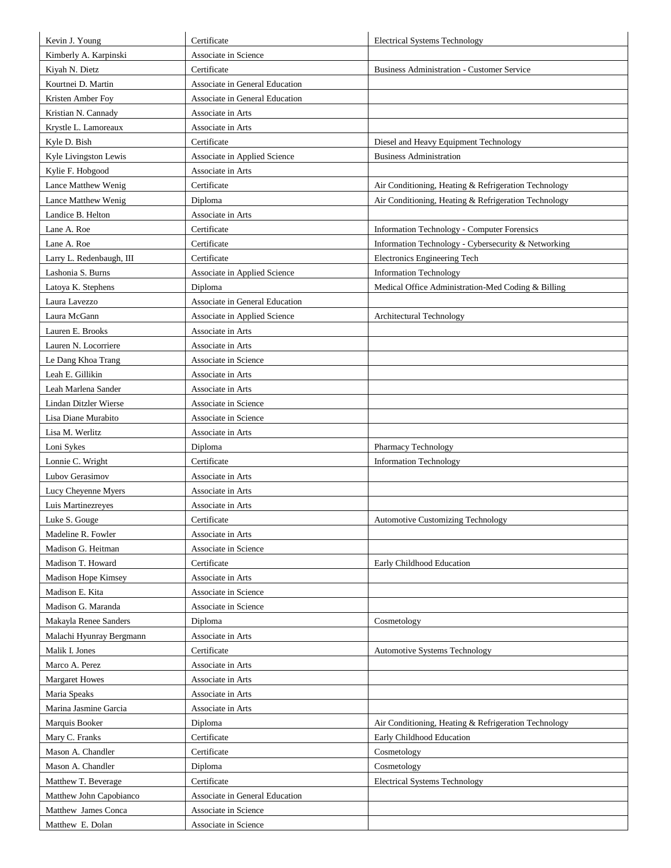| Kevin J. Young           | Certificate                    | <b>Electrical Systems Technology</b>                 |
|--------------------------|--------------------------------|------------------------------------------------------|
| Kimberly A. Karpinski    | Associate in Science           |                                                      |
| Kiyah N. Dietz           | Certificate                    | <b>Business Administration - Customer Service</b>    |
| Kourtnei D. Martin       | Associate in General Education |                                                      |
| Kristen Amber Foy        | Associate in General Education |                                                      |
| Kristian N. Cannady      | Associate in Arts              |                                                      |
| Krystle L. Lamoreaux     | Associate in Arts              |                                                      |
| Kyle D. Bish             | Certificate                    | Diesel and Heavy Equipment Technology                |
| Kyle Livingston Lewis    | Associate in Applied Science   | <b>Business Administration</b>                       |
| Kylie F. Hobgood         | Associate in Arts              |                                                      |
| Lance Matthew Wenig      | Certificate                    | Air Conditioning, Heating & Refrigeration Technology |
| Lance Matthew Wenig      | Diploma                        | Air Conditioning, Heating & Refrigeration Technology |
| Landice B. Helton        | Associate in Arts              |                                                      |
| Lane A. Roe              | Certificate                    | Information Technology - Computer Forensics          |
| Lane A. Roe              | Certificate                    | Information Technology - Cybersecurity & Networking  |
| Larry L. Redenbaugh, III | Certificate                    | Electronics Engineering Tech                         |
| Lashonia S. Burns        | Associate in Applied Science   | <b>Information Technology</b>                        |
| Latoya K. Stephens       | Diploma                        | Medical Office Administration-Med Coding & Billing   |
| Laura Lavezzo            | Associate in General Education |                                                      |
| Laura McGann             | Associate in Applied Science   | Architectural Technology                             |
| Lauren E. Brooks         | Associate in Arts              |                                                      |
| Lauren N. Locorriere     | Associate in Arts              |                                                      |
| Le Dang Khoa Trang       | Associate in Science           |                                                      |
| Leah E. Gillikin         | Associate in Arts              |                                                      |
| Leah Marlena Sander      | Associate in Arts              |                                                      |
| Lindan Ditzler Wierse    | Associate in Science           |                                                      |
| Lisa Diane Murabito      | Associate in Science           |                                                      |
| Lisa M. Werlitz          | Associate in Arts              |                                                      |
| Loni Sykes               | Diploma                        | Pharmacy Technology                                  |
| Lonnie C. Wright         | Certificate                    | <b>Information Technology</b>                        |
| Lubov Gerasimov          | Associate in Arts              |                                                      |
| Lucy Cheyenne Myers      | Associate in Arts              |                                                      |
| Luis Martinezreyes       | Associate in Arts              |                                                      |
| Luke S. Gouge            | Certificate                    | <b>Automotive Customizing Technology</b>             |
| Madeline R. Fowler       | Associate in Arts              |                                                      |
| Madison G. Heitman       | Associate in Science           |                                                      |
| Madison T. Howard        | Certificate                    | Early Childhood Education                            |
| Madison Hope Kimsey      | Associate in Arts              |                                                      |
| Madison E. Kita          | Associate in Science           |                                                      |
| Madison G. Maranda       | Associate in Science           |                                                      |
| Makayla Renee Sanders    | Diploma                        | Cosmetology                                          |
| Malachi Hyunray Bergmann | Associate in Arts              |                                                      |
| Malik I. Jones           | Certificate                    | <b>Automotive Systems Technology</b>                 |
| Marco A. Perez           | Associate in Arts              |                                                      |
| <b>Margaret Howes</b>    | Associate in Arts              |                                                      |
| Maria Speaks             | Associate in Arts              |                                                      |
| Marina Jasmine Garcia    | Associate in Arts              |                                                      |
| Marquis Booker           | Diploma                        | Air Conditioning, Heating & Refrigeration Technology |
| Mary C. Franks           | Certificate                    | Early Childhood Education                            |
| Mason A. Chandler        | Certificate                    | Cosmetology                                          |
| Mason A. Chandler        | Diploma                        | Cosmetology                                          |
| Matthew T. Beverage      | Certificate                    | <b>Electrical Systems Technology</b>                 |
| Matthew John Capobianco  | Associate in General Education |                                                      |
| Matthew James Conca      | Associate in Science           |                                                      |
| Matthew E. Dolan         | Associate in Science           |                                                      |
|                          |                                |                                                      |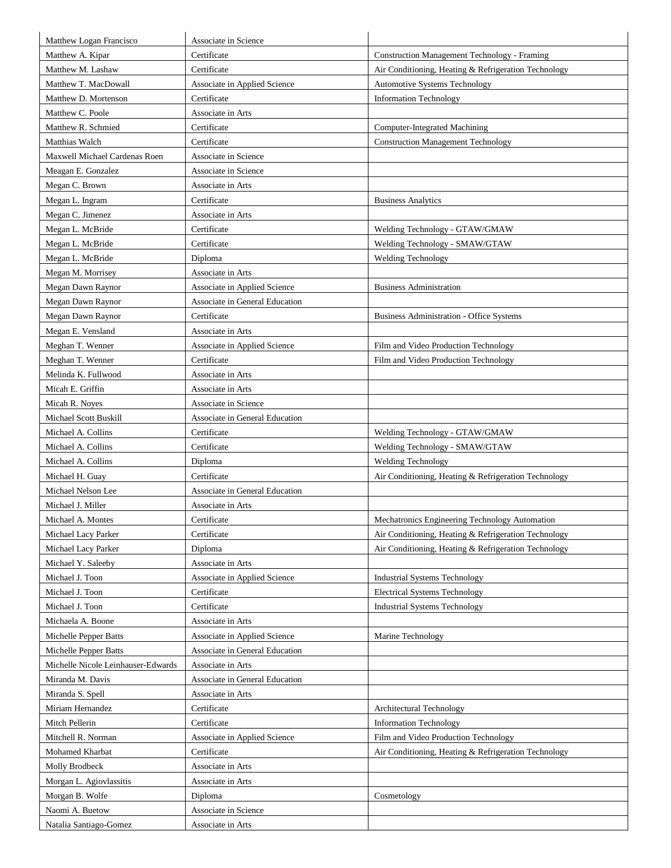| Matthew Logan Francisco            | Associate in Science           |                                                      |
|------------------------------------|--------------------------------|------------------------------------------------------|
| Matthew A. Kipar                   | Certificate                    | <b>Construction Management Technology - Framing</b>  |
| Matthew M. Lashaw                  | Certificate                    | Air Conditioning, Heating & Refrigeration Technology |
| Matthew T. MacDowall               | Associate in Applied Science   | <b>Automotive Systems Technology</b>                 |
| Matthew D. Mortenson               | Certificate                    | <b>Information Technology</b>                        |
| Matthew C. Poole                   | Associate in Arts              |                                                      |
| Matthew R. Schmied                 | Certificate                    | Computer-Integrated Machining                        |
| Matthias Walch                     | Certificate                    | <b>Construction Management Technology</b>            |
| Maxwell Michael Cardenas Roen      | Associate in Science           |                                                      |
| Meagan E. Gonzalez                 | Associate in Science           |                                                      |
| Megan C. Brown                     | Associate in Arts              |                                                      |
| Megan L. Ingram                    | Certificate                    | <b>Business Analytics</b>                            |
| Megan C. Jimenez                   | Associate in Arts              |                                                      |
| Megan L. McBride                   | Certificate                    | Welding Technology - GTAW/GMAW                       |
| Megan L. McBride                   | Certificate                    | Welding Technology - SMAW/GTAW                       |
| Megan L. McBride                   | Diploma                        | <b>Welding Technology</b>                            |
| Megan M. Morrisey                  | Associate in Arts              |                                                      |
| Megan Dawn Raynor                  | Associate in Applied Science   | <b>Business Administration</b>                       |
|                                    | Associate in General Education |                                                      |
| Megan Dawn Raynor                  | Certificate                    | <b>Business Administration - Office Systems</b>      |
| Megan Dawn Raynor                  |                                |                                                      |
| Megan E. Vensland                  | Associate in Arts              |                                                      |
| Meghan T. Wenner                   | Associate in Applied Science   | Film and Video Production Technology                 |
| Meghan T. Wenner                   | Certificate                    | Film and Video Production Technology                 |
| Melinda K. Fullwood                | Associate in Arts              |                                                      |
| Micah E. Griffin                   | Associate in Arts              |                                                      |
| Micah R. Noves                     | Associate in Science           |                                                      |
| Michael Scott Buskill              | Associate in General Education |                                                      |
| Michael A. Collins                 | Certificate                    | Welding Technology - GTAW/GMAW                       |
| Michael A. Collins                 | Certificate                    | Welding Technology - SMAW/GTAW                       |
| Michael A. Collins                 | Diploma                        | Welding Technology                                   |
| Michael H. Guay                    | Certificate                    | Air Conditioning, Heating & Refrigeration Technology |
| Michael Nelson Lee                 | Associate in General Education |                                                      |
| Michael J. Miller                  | Associate in Arts              |                                                      |
| Michael A. Montes                  | Certificate                    | Mechatronics Engineering Technology Automation       |
| Michael Lacy Parker                | Certificate                    | Air Conditioning, Heating & Refrigeration Technology |
| Michael Lacy Parker                | Diploma                        | Air Conditioning, Heating & Refrigeration Technology |
| Michael Y. Saleeby                 | Associate in Arts              |                                                      |
| Michael J. Toon                    | Associate in Applied Science   | <b>Industrial Systems Technology</b>                 |
| Michael J. Toon                    | Certificate                    | <b>Electrical Systems Technology</b>                 |
| Michael J. Toon                    | Certificate                    | <b>Industrial Systems Technology</b>                 |
| Michaela A. Boone                  | Associate in Arts              |                                                      |
| Michelle Pepper Batts              | Associate in Applied Science   | Marine Technology                                    |
| Michelle Pepper Batts              | Associate in General Education |                                                      |
| Michelle Nicole Leinhauser-Edwards | Associate in Arts              |                                                      |
| Miranda M. Davis                   | Associate in General Education |                                                      |
| Miranda S. Spell                   | Associate in Arts              |                                                      |
| Miriam Hernandez                   | Certificate                    | Architectural Technology                             |
| Mitch Pellerin                     | Certificate                    | <b>Information Technology</b>                        |
| Mitchell R. Norman                 | Associate in Applied Science   | Film and Video Production Technology                 |
| Mohamed Kharbat                    | Certificate                    | Air Conditioning, Heating & Refrigeration Technology |
| Molly Brodbeck                     | Associate in Arts              |                                                      |
| Morgan L. Agiovlassitis            | Associate in Arts              |                                                      |
| Morgan B. Wolfe                    | Diploma                        | Cosmetology                                          |
| Naomi A. Buetow                    | Associate in Science           |                                                      |
| Natalia Santiago-Gomez             | Associate in Arts              |                                                      |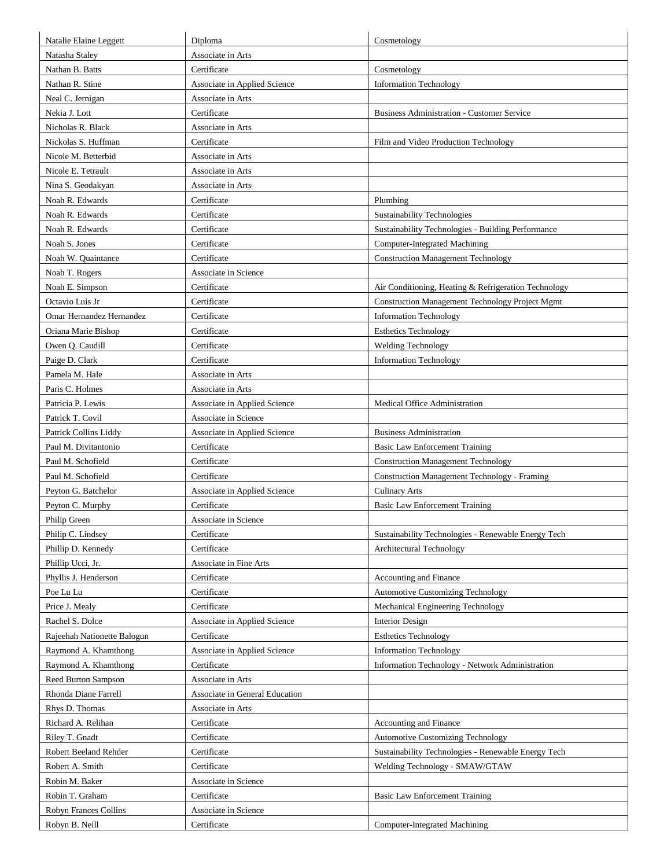| Natalie Elaine Leggett      | Diploma                        | Cosmetology                                            |
|-----------------------------|--------------------------------|--------------------------------------------------------|
| Natasha Staley              | Associate in Arts              |                                                        |
| Nathan B. Batts             | Certificate                    | Cosmetology                                            |
| Nathan R. Stine             | Associate in Applied Science   | <b>Information Technology</b>                          |
| Neal C. Jernigan            | Associate in Arts              |                                                        |
| Nekia J. Lott               | Certificate                    | <b>Business Administration - Customer Service</b>      |
| Nicholas R. Black           | Associate in Arts              |                                                        |
| Nickolas S. Huffman         | Certificate                    | Film and Video Production Technology                   |
| Nicole M. Betterbid         | Associate in Arts              |                                                        |
| Nicole E. Tetrault          | Associate in Arts              |                                                        |
| Nina S. Geodakyan           | Associate in Arts              |                                                        |
| Noah R. Edwards             | Certificate                    | Plumbing                                               |
| Noah R. Edwards             | Certificate                    | <b>Sustainability Technologies</b>                     |
| Noah R. Edwards             | Certificate                    | Sustainability Technologies - Building Performance     |
| Noah S. Jones               | Certificate                    | Computer-Integrated Machining                          |
| Noah W. Quaintance          | Certificate                    | <b>Construction Management Technology</b>              |
| Noah T. Rogers              | Associate in Science           |                                                        |
| Noah E. Simpson             | Certificate                    | Air Conditioning, Heating & Refrigeration Technology   |
| Octavio Luis Jr             | Certificate                    | <b>Construction Management Technology Project Mgmt</b> |
| Omar Hernandez Hernandez    | Certificate                    | <b>Information Technology</b>                          |
| Oriana Marie Bishop         | Certificate                    | <b>Esthetics Technology</b>                            |
| Owen Q. Caudill             | Certificate                    | Welding Technology                                     |
| Paige D. Clark              | Certificate                    | <b>Information Technology</b>                          |
| Pamela M. Hale              | Associate in Arts              |                                                        |
| Paris C. Holmes             | Associate in Arts              |                                                        |
| Patricia P. Lewis           | Associate in Applied Science   | Medical Office Administration                          |
| Patrick T. Covil            | Associate in Science           |                                                        |
| Patrick Collins Liddy       | Associate in Applied Science   | <b>Business Administration</b>                         |
| Paul M. Divitantonio        | Certificate                    | Basic Law Enforcement Training                         |
| Paul M. Schofield           | Certificate                    | <b>Construction Management Technology</b>              |
| Paul M. Schofield           | Certificate                    | Construction Management Technology - Framing           |
| Peyton G. Batchelor         | Associate in Applied Science   | <b>Culinary Arts</b>                                   |
| Peyton C. Murphy            | Certificate                    | <b>Basic Law Enforcement Training</b>                  |
| Philip Green                | Associate in Science           |                                                        |
| Philip C. Lindsey           | Certificate                    | Sustainability Technologies - Renewable Energy Tech    |
| Phillip D. Kennedy          | Certificate                    | Architectural Technology                               |
| Phillip Ucci, Jr.           | Associate in Fine Arts         |                                                        |
| Phyllis J. Henderson        | Certificate                    | Accounting and Finance                                 |
| Poe Lu Lu                   | Certificate                    | <b>Automotive Customizing Technology</b>               |
| Price J. Mealy              | Certificate                    | Mechanical Engineering Technology                      |
| Rachel S. Dolce             | Associate in Applied Science   | <b>Interior Design</b>                                 |
| Rajeehah Nationette Balogun | Certificate                    | <b>Esthetics Technology</b>                            |
| Raymond A. Khamthong        | Associate in Applied Science   | <b>Information Technology</b>                          |
| Raymond A. Khamthong        | Certificate                    | Information Technology - Network Administration        |
| Reed Burton Sampson         | Associate in Arts              |                                                        |
| Rhonda Diane Farrell        | Associate in General Education |                                                        |
| Rhys D. Thomas              | Associate in Arts              |                                                        |
| Richard A. Relihan          | Certificate                    | Accounting and Finance                                 |
| Riley T. Gnadt              | Certificate                    | Automotive Customizing Technology                      |
| Robert Beeland Rehder       | Certificate                    | Sustainability Technologies - Renewable Energy Tech    |
| Robert A. Smith             | Certificate                    | Welding Technology - SMAW/GTAW                         |
| Robin M. Baker              | Associate in Science           |                                                        |
| Robin T. Graham             | Certificate                    | Basic Law Enforcement Training                         |
| Robyn Frances Collins       | Associate in Science           |                                                        |
| Robyn B. Neill              | Certificate                    | <b>Computer-Integrated Machining</b>                   |
|                             |                                |                                                        |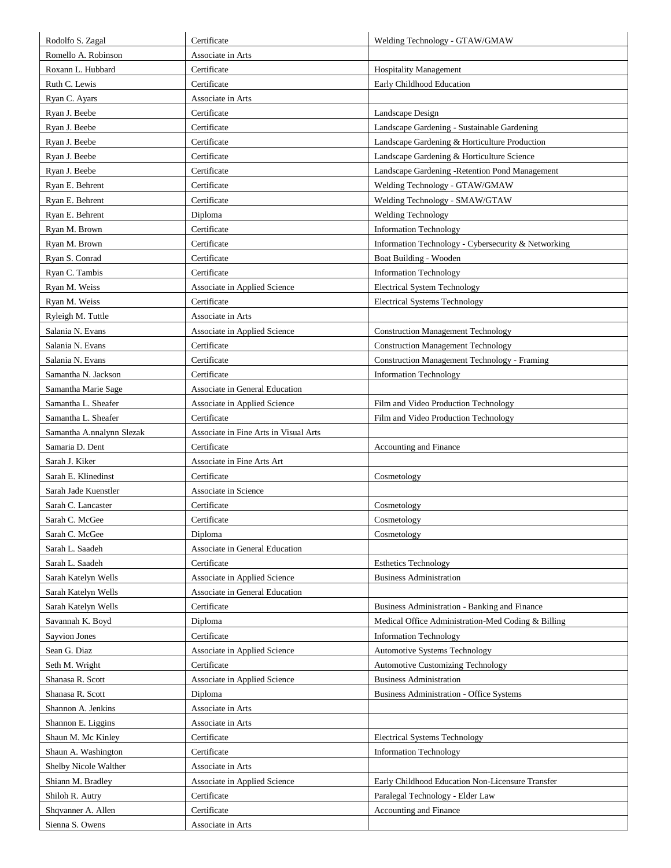| Rodolfo S. Zagal          | Certificate                           | Welding Technology - GTAW/GMAW                      |
|---------------------------|---------------------------------------|-----------------------------------------------------|
| Romello A. Robinson       | Associate in Arts                     |                                                     |
| Roxann L. Hubbard         | Certificate                           | <b>Hospitality Management</b>                       |
| Ruth C. Lewis             | Certificate                           | Early Childhood Education                           |
| Ryan C. Ayars             | Associate in Arts                     |                                                     |
| Ryan J. Beebe             | Certificate                           | Landscape Design                                    |
| Ryan J. Beebe             | Certificate                           | Landscape Gardening - Sustainable Gardening         |
| Ryan J. Beebe             | Certificate                           | Landscape Gardening & Horticulture Production       |
| Ryan J. Beebe             | Certificate                           | Landscape Gardening & Horticulture Science          |
| Ryan J. Beebe             | Certificate                           | Landscape Gardening -Retention Pond Management      |
| Ryan E. Behrent           | Certificate                           | Welding Technology - GTAW/GMAW                      |
| Ryan E. Behrent           | Certificate                           | Welding Technology - SMAW/GTAW                      |
| Ryan E. Behrent           | Diploma                               | <b>Welding Technology</b>                           |
| Ryan M. Brown             | Certificate                           | <b>Information Technology</b>                       |
| Ryan M. Brown             | Certificate                           | Information Technology - Cybersecurity & Networking |
| Ryan S. Conrad            | Certificate                           | Boat Building - Wooden                              |
| Ryan C. Tambis            | Certificate                           | <b>Information Technology</b>                       |
| Ryan M. Weiss             | Associate in Applied Science          | <b>Electrical System Technology</b>                 |
| Ryan M. Weiss             | Certificate                           | <b>Electrical Systems Technology</b>                |
| Ryleigh M. Tuttle         | Associate in Arts                     |                                                     |
| Salania N. Evans          | Associate in Applied Science          | <b>Construction Management Technology</b>           |
| Salania N. Evans          | Certificate                           | <b>Construction Management Technology</b>           |
| Salania N. Evans          | Certificate                           | <b>Construction Management Technology - Framing</b> |
| Samantha N. Jackson       | Certificate                           | <b>Information Technology</b>                       |
| Samantha Marie Sage       | Associate in General Education        |                                                     |
| Samantha L. Sheafer       | Associate in Applied Science          | Film and Video Production Technology                |
| Samantha L. Sheafer       | Certificate                           | Film and Video Production Technology                |
| Samantha A.nnalynn Slezak | Associate in Fine Arts in Visual Arts |                                                     |
| Samaria D. Dent           | Certificate                           | Accounting and Finance                              |
| Sarah J. Kiker            | Associate in Fine Arts Art            |                                                     |
| Sarah E. Klinedinst       | Certificate                           | Cosmetology                                         |
| Sarah Jade Kuenstler      | Associate in Science                  |                                                     |
| Sarah C. Lancaster        | Certificate                           | Cosmetology                                         |
| Sarah C. McGee            | Certificate                           | Cosmetology                                         |
| Sarah C. McGee            | Diploma                               | Cosmetology                                         |
| Sarah L. Saadeh           | Associate in General Education        |                                                     |
| Sarah L. Saadeh           | Certificate                           | <b>Esthetics Technology</b>                         |
| Sarah Katelyn Wells       | Associate in Applied Science          | <b>Business Administration</b>                      |
| Sarah Katelyn Wells       | Associate in General Education        |                                                     |
| Sarah Katelyn Wells       | Certificate                           | Business Administration - Banking and Finance       |
| Savannah K. Boyd          | Diploma                               | Medical Office Administration-Med Coding & Billing  |
| Sayvion Jones             | Certificate                           | <b>Information Technology</b>                       |
| Sean G. Diaz              | Associate in Applied Science          | <b>Automotive Systems Technology</b>                |
| Seth M. Wright            | Certificate                           | <b>Automotive Customizing Technology</b>            |
| Shanasa R. Scott          | Associate in Applied Science          | <b>Business Administration</b>                      |
| Shanasa R. Scott          | Diploma                               | <b>Business Administration - Office Systems</b>     |
| Shannon A. Jenkins        | Associate in Arts                     |                                                     |
| Shannon E. Liggins        | Associate in Arts                     |                                                     |
| Shaun M. Mc Kinley        | Certificate                           | <b>Electrical Systems Technology</b>                |
| Shaun A. Washington       | Certificate                           | <b>Information Technology</b>                       |
| Shelby Nicole Walther     | Associate in Arts                     |                                                     |
| Shiann M. Bradley         | Associate in Applied Science          | Early Childhood Education Non-Licensure Transfer    |
| Shiloh R. Autry           | Certificate                           | Paralegal Technology - Elder Law                    |
| Shqvanner A. Allen        | Certificate                           | Accounting and Finance                              |
| Sienna S. Owens           | Associate in Arts                     |                                                     |
|                           |                                       |                                                     |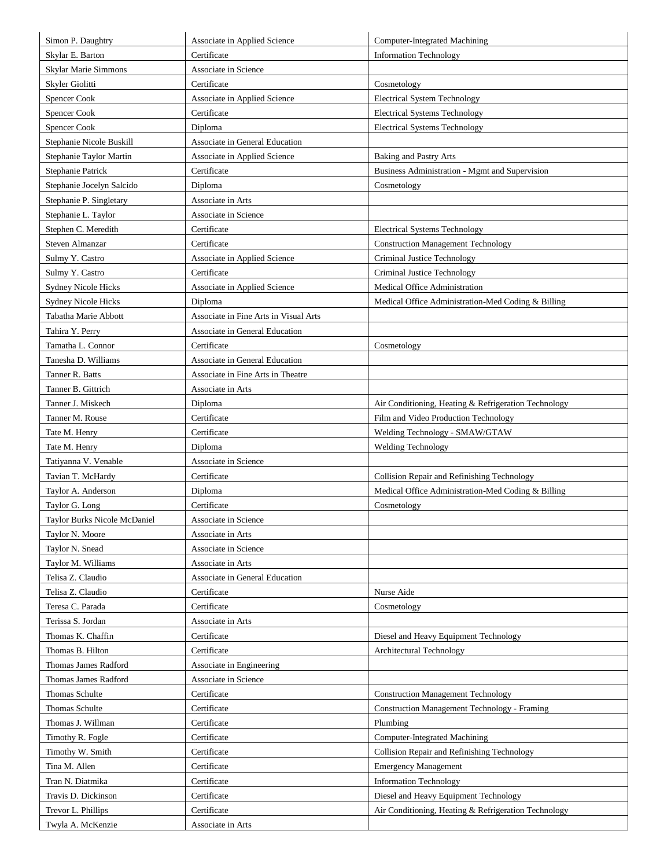| Simon P. Daughtry            | Associate in Applied Science          | Computer-Integrated Machining                        |
|------------------------------|---------------------------------------|------------------------------------------------------|
| Skylar E. Barton             | Certificate                           | <b>Information Technology</b>                        |
| Skylar Marie Simmons         | Associate in Science                  |                                                      |
| Skyler Giolitti              | Certificate                           | Cosmetology                                          |
| <b>Spencer Cook</b>          | Associate in Applied Science          | <b>Electrical System Technology</b>                  |
| Spencer Cook                 | Certificate                           | <b>Electrical Systems Technology</b>                 |
| <b>Spencer Cook</b>          | Diploma                               | <b>Electrical Systems Technology</b>                 |
| Stephanie Nicole Buskill     | Associate in General Education        |                                                      |
| Stephanie Taylor Martin      | Associate in Applied Science          | <b>Baking and Pastry Arts</b>                        |
| Stephanie Patrick            | Certificate                           | Business Administration - Mgmt and Supervision       |
| Stephanie Jocelyn Salcido    | Diploma                               | Cosmetology                                          |
| Stephanie P. Singletary      | Associate in Arts                     |                                                      |
| Stephanie L. Taylor          | Associate in Science                  |                                                      |
| Stephen C. Meredith          | Certificate                           | <b>Electrical Systems Technology</b>                 |
| Steven Almanzar              | Certificate                           | <b>Construction Management Technology</b>            |
| Sulmy Y. Castro              | Associate in Applied Science          | Criminal Justice Technology                          |
| Sulmy Y. Castro              | Certificate                           | Criminal Justice Technology                          |
| <b>Sydney Nicole Hicks</b>   | Associate in Applied Science          | Medical Office Administration                        |
| <b>Sydney Nicole Hicks</b>   | Diploma                               | Medical Office Administration-Med Coding & Billing   |
| Tabatha Marie Abbott         | Associate in Fine Arts in Visual Arts |                                                      |
| Tahira Y. Perry              | Associate in General Education        |                                                      |
| Tamatha L. Connor            | Certificate                           | Cosmetology                                          |
| Tanesha D. Williams          | Associate in General Education        |                                                      |
| Tanner R. Batts              | Associate in Fine Arts in Theatre     |                                                      |
| Tanner B. Gittrich           | Associate in Arts                     |                                                      |
| Tanner J. Miskech            | Diploma                               | Air Conditioning, Heating & Refrigeration Technology |
| Tanner M. Rouse              | Certificate                           | Film and Video Production Technology                 |
| Tate M. Henry                | Certificate                           | Welding Technology - SMAW/GTAW                       |
| Tate M. Henry                | Diploma                               | <b>Welding Technology</b>                            |
| Tatiyanna V. Venable         | Associate in Science                  |                                                      |
| Tavian T. McHardy            | Certificate                           | Collision Repair and Refinishing Technology          |
| Taylor A. Anderson           | Diploma                               | Medical Office Administration-Med Coding & Billing   |
| Taylor G. Long               | Certificate                           | Cosmetology                                          |
| Taylor Burks Nicole McDaniel | Associate in Science                  |                                                      |
| Taylor N. Moore              | Associate in Arts                     |                                                      |
| Taylor N. Snead              | Associate in Science                  |                                                      |
| Taylor M. Williams           | Associate in Arts                     |                                                      |
| Telisa Z. Claudio            | Associate in General Education        |                                                      |
| Telisa Z. Claudio            | Certificate                           | Nurse Aide                                           |
| Teresa C. Parada             | Certificate                           | Cosmetology                                          |
| Terissa S. Jordan            | Associate in Arts                     |                                                      |
| Thomas K. Chaffin            | Certificate                           | Diesel and Heavy Equipment Technology                |
| Thomas B. Hilton             | Certificate                           | Architectural Technology                             |
| Thomas James Radford         | Associate in Engineering              |                                                      |
| Thomas James Radford         | Associate in Science                  |                                                      |
| Thomas Schulte               | Certificate                           | <b>Construction Management Technology</b>            |
| Thomas Schulte               | Certificate                           | <b>Construction Management Technology - Framing</b>  |
| Thomas J. Willman            | Certificate                           | Plumbing                                             |
| Timothy R. Fogle             | Certificate                           | <b>Computer-Integrated Machining</b>                 |
| Timothy W. Smith             | Certificate                           | Collision Repair and Refinishing Technology          |
| Tina M. Allen                | Certificate                           | <b>Emergency Management</b>                          |
| Tran N. Diatmika             | Certificate                           | <b>Information Technology</b>                        |
| Travis D. Dickinson          | Certificate                           | Diesel and Heavy Equipment Technology                |
| Trevor L. Phillips           | Certificate                           | Air Conditioning, Heating & Refrigeration Technology |
| Twyla A. McKenzie            | Associate in Arts                     |                                                      |